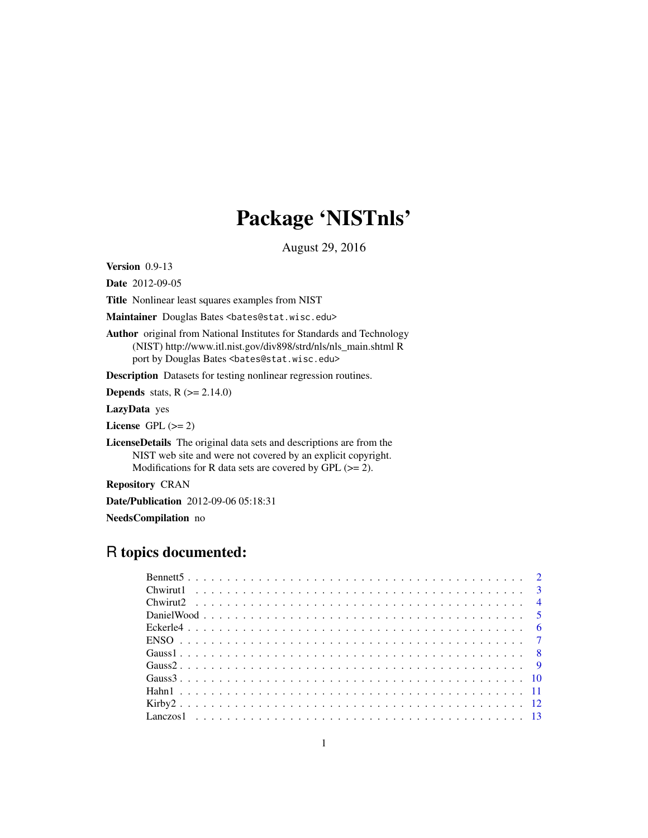# Package 'NISTnls'

August 29, 2016

Version 0.9-13

Date 2012-09-05

Title Nonlinear least squares examples from NIST

Maintainer Douglas Bates <br/>bates@stat.wisc.edu>

Author original from National Institutes for Standards and Technology (NIST) http://www.itl.nist.gov/div898/strd/nls/nls\_main.shtml R port by Douglas Bates <br/>bates@stat.wisc.edu>

Description Datasets for testing nonlinear regression routines.

**Depends** stats,  $R$  ( $>= 2.14.0$ )

LazyData yes

License GPL  $(>= 2)$ 

LicenseDetails The original data sets and descriptions are from the NIST web site and were not covered by an explicit copyright. Modifications for R data sets are covered by GPL  $(>= 2)$ .

Repository CRAN

Date/Publication 2012-09-06 05:18:31

NeedsCompilation no

# R topics documented: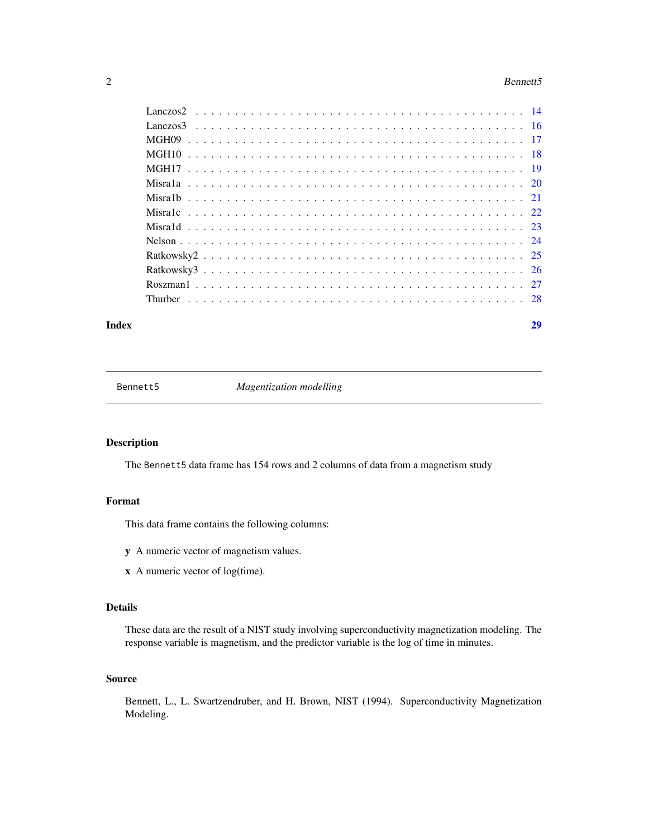#### <span id="page-1-0"></span> $2\,$  Bennett5

# **Index** [29](#page-28-0)

Bennett5 *Magentization modelling*

# Description

The Bennett5 data frame has 154 rows and 2 columns of data from a magnetism study

# Format

This data frame contains the following columns:

- y A numeric vector of magnetism values.
- x A numeric vector of log(time).

# Details

These data are the result of a NIST study involving superconductivity magnetization modeling. The response variable is magnetism, and the predictor variable is the log of time in minutes.

# Source

Bennett, L., L. Swartzendruber, and H. Brown, NIST (1994). Superconductivity Magnetization Modeling.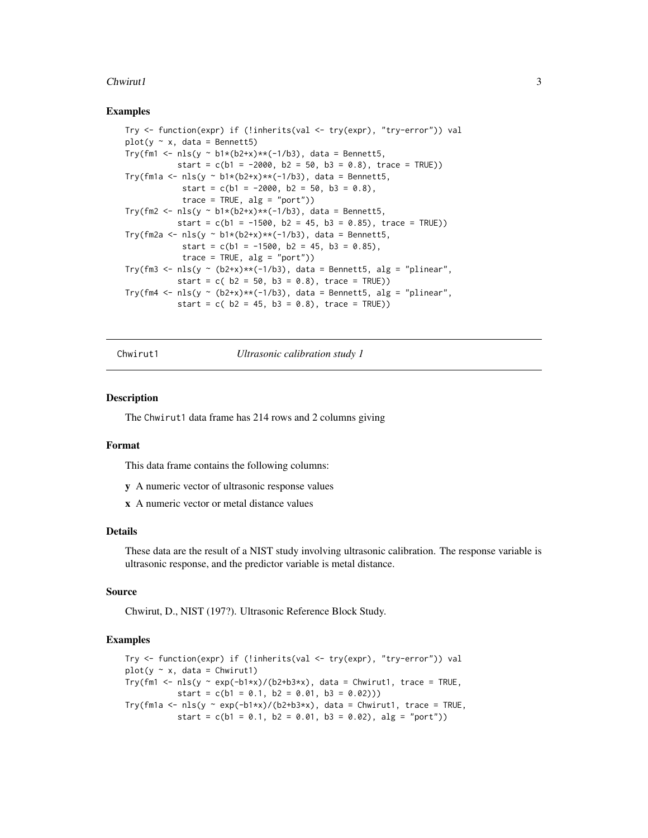#### <span id="page-2-0"></span> $Chwirut1$  3

# Examples

```
Try <- function(expr) if (!inherits(val <- try(expr), "try-error")) val
plot(y \sim x, data = Bennett5)Try(fm1 <- nls(y ~ b1*(b2+x)**(-1/b3), data = Bennett5,
          start = c(b1 = -2000, b2 = 50, b3 = 0.8), trace = TRUE))
Try(fm1a <- nls(y ~ b1*(b2+x)**(-1/b3), data = Bennett5,
            start = c(b1 = -2000, b2 = 50, b3 = 0.8),
            trace = TRUE, alg = "port")Try(fm2 <- nls(y ~ b1*(b2+x)**(-1/b3), data = Bennett5,
           start = c(b1 = -1500, b2 = 45, b3 = 0.85), trace = TRUE))
Try(fm2a <- nls(y ~ b1*(b2+x)**(-1/b3), data = Bennett5,
            start = c(b1 = -1500, b2 = 45, b3 = 0.85),
            trace = TRUE, alg = "port")Try(fm3 <- nls(y ~ (b2+x)**(-1/b3), data = Bennett5, alg = "plinear",
           start = c( b2 = 50, b3 = 0.8), trace = TRUE))
Try(fm4 <- nls(y ~ (b2+x)**(-1/b3), data = Bennett5, alg = "plinear",
           start = c( b2 = 45, b3 = 0.8), trace = TRUE))
```
Chwirut1 *Ultrasonic calibration study 1*

#### Description

The Chwirut1 data frame has 214 rows and 2 columns giving

# Format

This data frame contains the following columns:

- y A numeric vector of ultrasonic response values
- x A numeric vector or metal distance values

#### Details

These data are the result of a NIST study involving ultrasonic calibration. The response variable is ultrasonic response, and the predictor variable is metal distance.

# Source

Chwirut, D., NIST (197?). Ultrasonic Reference Block Study.

```
Try <- function(expr) if (!inherits(val <- try(expr), "try-error")) val
plot(y \sim x, data = Chwirut1)Try(fm1 <- nls(y ~ exp(-b1*x)/(b2+b3*x), data = Chwirut1, trace = TRUE,
          start = c(b1 = 0.1, b2 = 0.01, b3 = 0.02))Try(fm1a <- nls(y ~ exp(-b1*x)/(b2+b3*x), data = Chwirut1, trace = TRUE,
          start = c(b1 = 0.1, b2 = 0.01, b3 = 0.02), alg = "port"))
```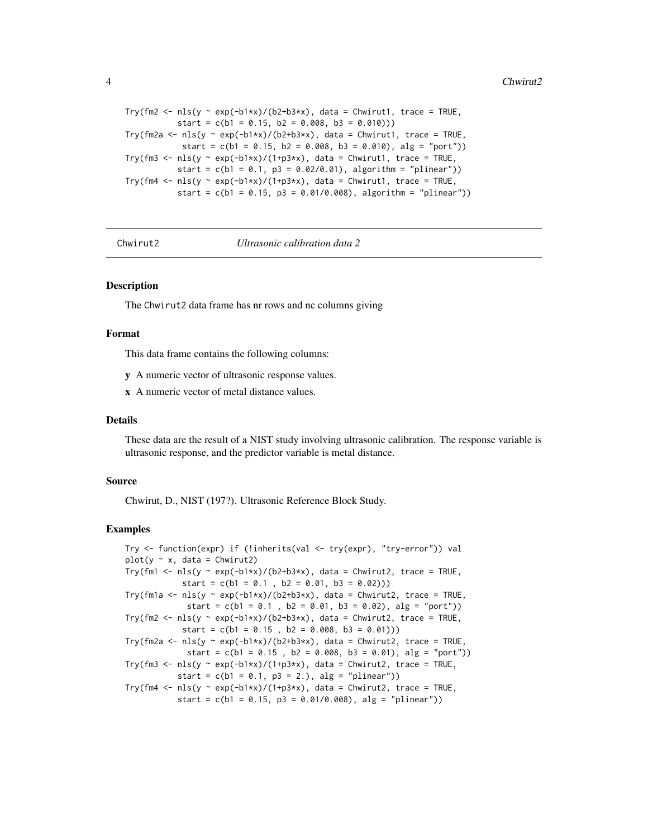```
Try(fm2 <- nls(y \sim exp(-b1*x)/(b2+b3*x), data = Chwirut1, trace = TRUE,
           start = c(b1 = 0.15, b2 = 0.008, b3 = 0.010))Try(fm2a <- nls(y ~ exp(-b1*x)/(b2+b3*x), data = Chwirut1, trace = TRUE,
            start = c(b1 = 0.15, b2 = 0.008, b3 = 0.010), alg = "port")Try(fm3 <- nls(y ~ exp(-b1*x)/(1+p3*x), data = Chwirut1, trace = TRUE,
           start = c(b1 = 0.1, p3 = 0.02/0.01), algorithm = "plinear"))
Try(fm4 <- nls(y \sim exp(-b1*x)/(1+p3*x), data = Chwirut1, trace = TRUE,
           start = c(b1 = 0.15, p3 = 0.01/0.008), algorithm = "plinear"))
```
Chwirut2 *Ultrasonic calibration data 2*

# Description

The Chwirut2 data frame has nr rows and nc columns giving

#### Format

This data frame contains the following columns:

y A numeric vector of ultrasonic response values.

x A numeric vector of metal distance values.

# Details

These data are the result of a NIST study involving ultrasonic calibration. The response variable is ultrasonic response, and the predictor variable is metal distance.

#### Source

Chwirut, D., NIST (197?). Ultrasonic Reference Block Study.

```
Try <- function(expr) if (!inherits(val <- try(expr), "try-error")) val
plot(y \sim x, data = Chwirut2)Try(fm1 <- nls(y ~ exp(-b1*x)/(b2+b3*x), data = Chwirut2, trace = TRUE,
           start = c(b1 = 0.1, b2 = 0.01, b3 = 0.02))
Try(fm1a <- nls(y ~ exp(-b1*x)/(b2+b3*x), data = Chwirut2, trace = TRUE,
            start = c(b1 = 0.1, b2 = 0.01, b3 = 0.02), alg = "port")Try(fm2 <- nls(y \sim exp(-b1*x)/(b2+b3*x), data = Chwirut2, trace = TRUE,
           start = c(b1 = 0.15, b2 = 0.008, b3 = 0.01))Try(fm2a <- nls(y ~ exp(-b1*x)/(b2+b3*x), data = Chwirut2, trace = TRUE,
            start = c(b1 = 0.15, b2 = 0.008, b3 = 0.01), alg = "port")Try(fm3 <- nls(y ~ exp(-b1*x)/(1+p3*x), data = Chwirut2, trace = TRUE,
          start = c(b1 = 0.1, p3 = 2.), alg = "plane")
Try(fm4 <- nls(y ~ exp(-b1*x)/(1+p3*x), data = Chwirut2, trace = TRUE,
           start = c(b1 = 0.15, p3 = 0.01/0.008), alg = "plinear"))
```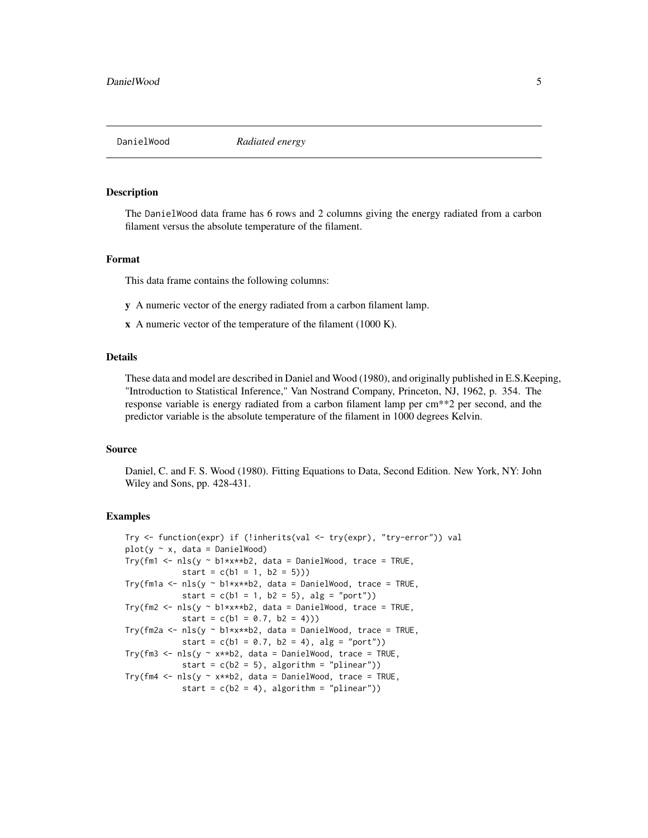<span id="page-4-0"></span>

The DanielWood data frame has 6 rows and 2 columns giving the energy radiated from a carbon filament versus the absolute temperature of the filament.

#### Format

This data frame contains the following columns:

y A numeric vector of the energy radiated from a carbon filament lamp.

x A numeric vector of the temperature of the filament (1000 K).

# Details

These data and model are described in Daniel and Wood (1980), and originally published in E.S.Keeping, "Introduction to Statistical Inference," Van Nostrand Company, Princeton, NJ, 1962, p. 354. The response variable is energy radiated from a carbon filament lamp per cm\*\*2 per second, and the predictor variable is the absolute temperature of the filament in 1000 degrees Kelvin.

#### Source

Daniel, C. and F. S. Wood (1980). Fitting Equations to Data, Second Edition. New York, NY: John Wiley and Sons, pp. 428-431.

```
Try <- function(expr) if (!inherits(val <- try(expr), "try-error")) val
plot(y \sim x, data = DanielWood)Try(fm1 <- nls(y \sim b1*x**b2, data = DanielWood, trace = TRUE,
            start = c(b1 = 1, b2 = 5))Try(fm1a <- nls(y ~ b1*x**b2, data = DanielWood, trace = TRUE,
            start = c(b1 = 1, b2 = 5), alg = "port"))
Try(fm2 <- nls(y \sim b1*x**b2, data = DanielWood, trace = TRUE,start = c(b1 = 0.7, b2 = 4))Try(fm2a <- nls(y ~ b1*x**b2, data = DanielWood, trace = TRUE,
            start = c(b1 = 0.7, b2 = 4), alg = "port"))
Try(fm3 <- nls(y \sim x**b2, data = DanielWood, trace = TRUE,
            start = c(b2 = 5), algorithm = "plinear"))
Try(fm4 <- nls(y \sim x**b2, data = DanielWood, trace = TRUE,start = c(b2 = 4), algorithm = "plinear"))
```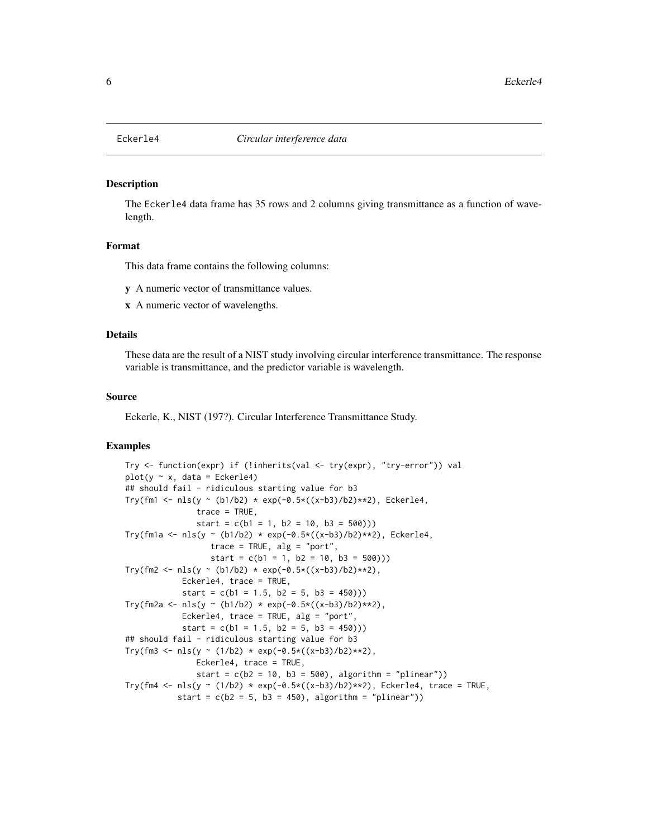<span id="page-5-0"></span>

The Eckerle4 data frame has 35 rows and 2 columns giving transmittance as a function of wavelength.

#### Format

This data frame contains the following columns:

y A numeric vector of transmittance values.

x A numeric vector of wavelengths.

# Details

These data are the result of a NIST study involving circular interference transmittance. The response variable is transmittance, and the predictor variable is wavelength.

#### Source

Eckerle, K., NIST (197?). Circular Interference Transmittance Study.

```
Try <- function(expr) if (!inherits(val <- try(expr), "try-error")) val
plot(y \sim x, data = Eckerle4)## should fail - ridiculous starting value for b3
Try(fm1 <- nls(y ~ (b1/b2) * exp(-0.5*((x-b3)/b2)**2), Eckerle4,
               trace = TRUE,
               start = c(b1 = 1, b2 = 10, b3 = 500))Try(fm1a <- nls(y ~ (b1/b2) * exp(-0.5*((x-b3)/b2)**2), Eckerle4,
                  trace = TRUE, alg = "port",
                  start = c(b1 = 1, b2 = 10, b3 = 500))Try(fm2 <- nls(y ~ (b1/b2) * exp(-0.5*((x-b3)/b2)**2),
            Eckerle4, trace = TRUE,
            start = c(b1 = 1.5, b2 = 5, b3 = 450))Try(fm2a <- nls(y ~ (b1/b2) * exp(-0.5*((x-b3)/b2)**2),
            Eckerle4, trace = TRUE, alg = "port",
            start = c(b1 = 1.5, b2 = 5, b3 = 450))## should fail - ridiculous starting value for b3
Try(fm3 <- nls(y ~ (1/b2) * exp(-0.5*((x-b3)/b2)**2),
               Eckerle4, trace = TRUE,
               start = c(b2 = 10, b3 = 500), algorithm = "plinear"))
Try(fm4 <- nls(y ~ (1/b2) * exp(-0.5*((x-b3)/b2)**2), Eckerle4, trace = TRUE,
           start = c(b2 = 5, b3 = 450), algorithm = "plinear"))
```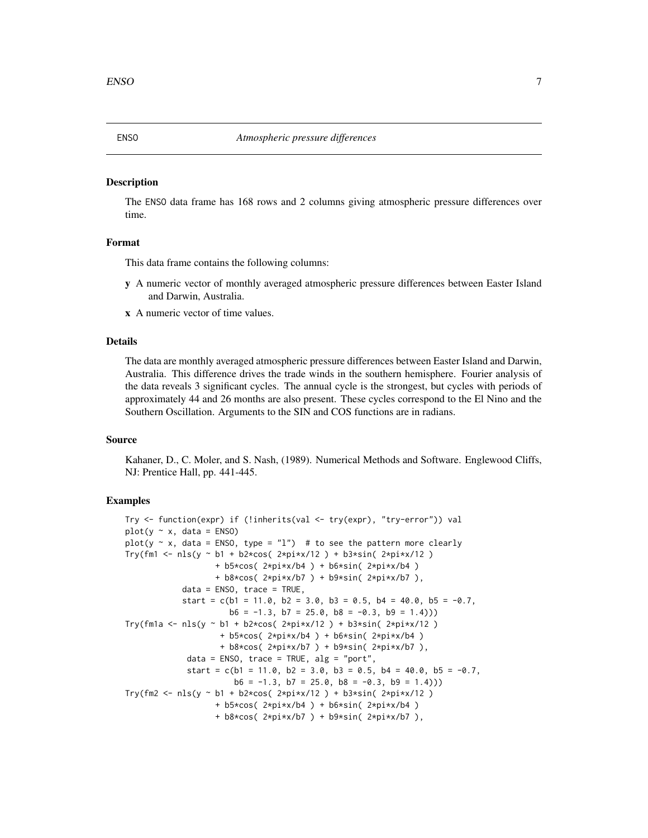<span id="page-6-0"></span>The ENSO data frame has 168 rows and 2 columns giving atmospheric pressure differences over time.

# Format

This data frame contains the following columns:

- y A numeric vector of monthly averaged atmospheric pressure differences between Easter Island and Darwin, Australia.
- x A numeric vector of time values.

# Details

The data are monthly averaged atmospheric pressure differences between Easter Island and Darwin, Australia. This difference drives the trade winds in the southern hemisphere. Fourier analysis of the data reveals 3 significant cycles. The annual cycle is the strongest, but cycles with periods of approximately 44 and 26 months are also present. These cycles correspond to the El Nino and the Southern Oscillation. Arguments to the SIN and COS functions are in radians.

#### Source

Kahaner, D., C. Moler, and S. Nash, (1989). Numerical Methods and Software. Englewood Cliffs, NJ: Prentice Hall, pp. 441-445.

```
Try <- function(expr) if (!inherits(val <- try(expr), "try-error")) val
plot(y \sim x, data = ENSO)plot(y \sim x, data = ENSO, type = "1") # to see the pattern more clearly
Try(fm1 <- nls(y ~ b1 + b2*cos( 2*pi*x/12 ) + b3*sin( 2*pi*x/12 )
                   + b5*cos( 2*pi*x/b4 ) + b6*sin( 2*pi*x/b4 )
                   + b8*cos( 2*pi*x/b7 ) + b9*sin( 2*pi*x/b7 ),
            data = ENSO, trace = TRUE,
            start = c(b1 = 11.0, b2 = 3.0, b3 = 0.5, b4 = 40.0, b5 = -0.7,
                      b6 = -1.3, b7 = 25.0, b8 = -0.3, b9 = 1.4))
Try(fm1a <- nls(y ~ b1 + b2*cos( 2*pi*x/12 ) + b3*sin( 2*pi*x/12 )
                    + b5*cos( 2*pi*x/b4 ) + b6*sin( 2*pi*x/b4 )
                    + b8*cos( 2*pi*x/b7 ) + b9*sin( 2*pi*x/b7 ),
             data = ENSO, trace = TRUE, alg = "port",start = c(b1 = 11.0, b2 = 3.0, b3 = 0.5, b4 = 40.0, b5 = -0.7,b6 = -1.3, b7 = 25.0, b8 = -0.3, b9 = 1.4))
Try(fm2 <- nls(y ~ b1 + b2*cos( 2*pi*x/12 ) + b3*sin( 2*pi*x/12 )
                  + b5*cos( 2*pi*x/b4 ) + b6*sin( 2*pi*x/b4 )
                   + b8*cos( 2*pi*x/b7 ) + b9*sin( 2*pi*x/b7 ),
```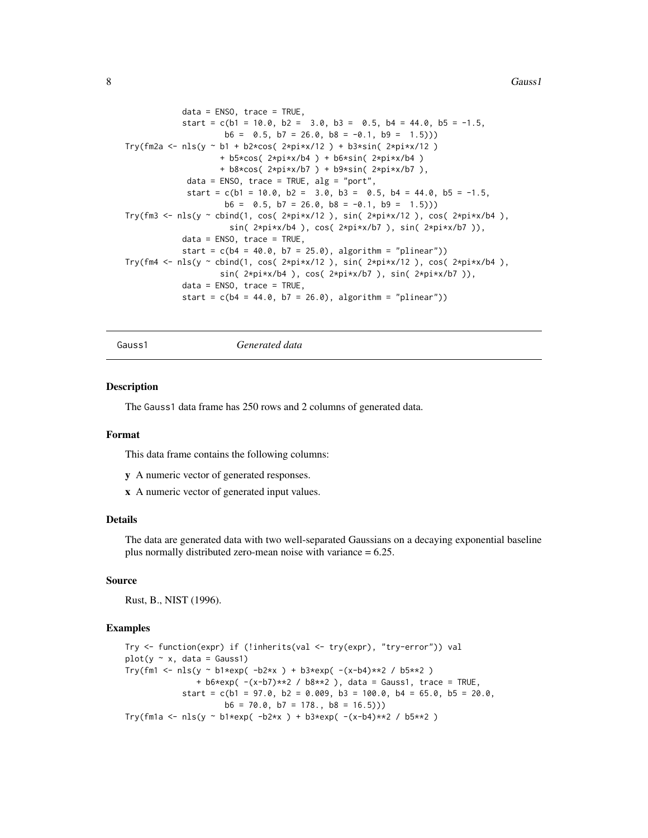<span id="page-7-0"></span>8 Gauss1

```
data = ENSO, trace = TRUE,
           start = c(b1 = 10.0, b2 = 3.0, b3 = 0.5, b4 = 44.0, b5 = -1.5,b6 = 0.5, b7 = 26.0, b8 = -0.1, b9 = 1.5))
Try(fm2a <- nls(y ~ b1 + b2*cos( 2*pi*x/12 ) + b3*sin( 2*pi*x/12 )
                   + b5*cos( 2*pi*x/b4 ) + b6*sin( 2*pi*x/b4 )
                    + b8*cos( 2*pi*x/b7 ) + b9*sin( 2*pi*x/b7 ),
            data = ENSO, trace = TRUE, alg = "port",start = c(b1 = 10.0, b2 = 3.0, b3 = 0.5, b4 = 44.0, b5 = -1.5,b6 = 0.5, b7 = 26.0, b8 = -0.1, b9 = 1.5))
Try(fm3 <- nls(y ~ cbind(1, cos( 2*pi*x/12 ), sin( 2*pi*x/12 ), cos( 2*pi*x/b4 ),
                     sin( 2*pi*x/b4 ), cos( 2*pi*x/b7 ), sin( 2*pi*x/b7 )),
           data = ENSO, trace = TRUE,
           start = c(b4 = 40.0, b7 = 25.0), algorithm = "plinear"))
Try(fm4 <- nls(y ~ cbind(1, cos( 2*pi*x/12 ), sin( 2*pi*x/12 ), cos( 2*pi*x/b4 ),
                    sin( 2*pi*x/b4 ), cos( 2*pi*x/b7 ), sin( 2*pi*x/b7 )),
           data = ENSO, trace = TRUE,
           start = c(b4 = 44.0, b7 = 26.0), algorithm = "plinear"))
```
Gauss1 *Generated data*

# **Description**

The Gauss1 data frame has 250 rows and 2 columns of generated data.

#### Format

This data frame contains the following columns:

- y A numeric vector of generated responses.
- x A numeric vector of generated input values.

# Details

The data are generated data with two well-separated Gaussians on a decaying exponential baseline plus normally distributed zero-mean noise with variance = 6.25.

# Source

Rust, B., NIST (1996).

```
Try <- function(expr) if (!inherits(val <- try(expr), "try-error")) val
plot(y \sim x, data = Gauss1)Try(fm1 <- nls(y ~ b1*exp( -b2*x ) + b3*exp( -(x-b4)**2 / b5**2 )
              + b6*exp(- (x-b7)*2 / b8**2), data = Gauss1, trace = TRUE,
           start = c(b1 = 97.0, b2 = 0.009, b3 = 100.0, b4 = 65.0, b5 = 20.0,b6 = 70.0, b7 = 178., b8 = 16.5)Try(fm1a <- nls(y ~ b1*exp( -b2*x ) + b3*exp( -(x-b4)**2 / b5**2 )
```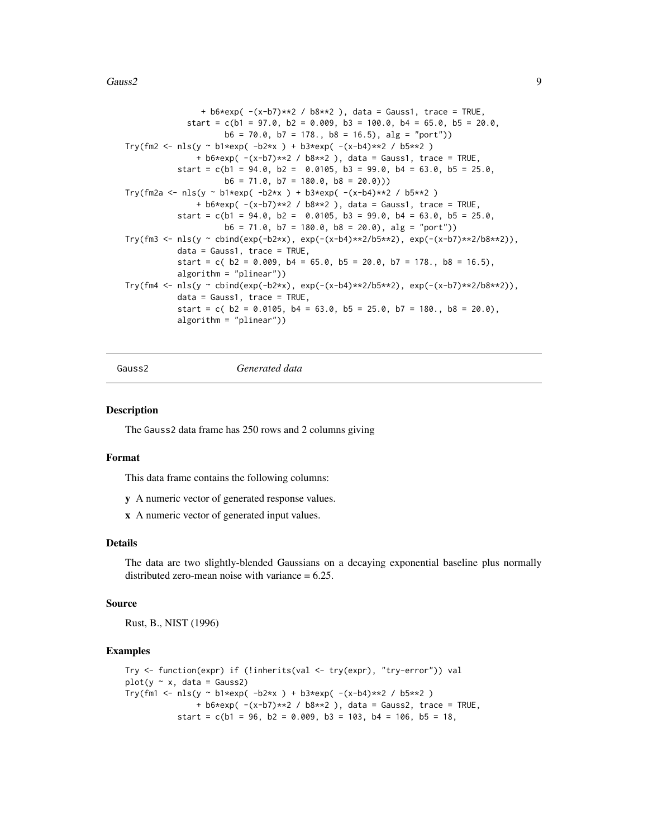#### <span id="page-8-0"></span> $Gauss2$  9

```
+ b6*exp( -(x-b7)*2 / b8**2 ), data = Gauss1, trace = TRUE,
             start = c(b1 = 97.0, b2 = 0.009, b3 = 100.0, b4 = 65.0, b5 = 20.0,b6 = 70.0, b7 = 178., b8 = 16.5), a1g = "port")Try(fm2 <- nls(y ~ b1*exp( -b2*x ) + b3*exp( -(x-b4)**2 / b5**2 )
               + b6*exp(- (x-b7)*2 / b8**2 ), data = Gauss1, trace = TRUE,
           start = c(b1 = 94.0, b2 = 0.0105, b3 = 99.0, b4 = 63.0, b5 = 25.0,b6 = 71.0, b7 = 180.0, b8 = 20.0)Try(fm2a <- nls(y ~ b1*exp( -b2*x ) + b3*exp( -(x-b4)**2 / b5**2 )
              + b6*exp( -(x-b7)**2 / b8**2 ), data = Gauss1, trace = TRUE,
           start = c(b1 = 94.0, b2 = 0.0105, b3 = 99.0, b4 = 63.0, b5 = 25.0,b6 = 71.0, b7 = 180.0, b8 = 20.0), a1g = "port")Try(fm3 \leq nls(y \leq bind(exp(-b2*x), exp(-(x-b4)*x2/b5*x2), exp(-(x-b7)*x2/b8*x2)),data = Gauss1, trace = TRUE,start = c(b2 = 0.009, b4 = 65.0, b5 = 20.0, b7 = 178., b8 = 16.5),
           algorithm = "plinear"))
Try(fm4 <- nls(y ~ cbind(exp(-b2*x), exp(-(x-b4)**2/b5**2), exp(-(x-b7)**2/b8**2)),
           data = Gauss1, trace = TRUE,
           start = c(b2 = 0.0105, b4 = 63.0, b5 = 25.0, b7 = 180., b8 = 20.0),
           algorithm = "plinear"))
```
Gauss2 *Generated data*

#### **Description**

The Gauss2 data frame has 250 rows and 2 columns giving

#### Format

This data frame contains the following columns:

- y A numeric vector of generated response values.
- x A numeric vector of generated input values.

# Details

The data are two slightly-blended Gaussians on a decaying exponential baseline plus normally distributed zero-mean noise with variance  $= 6.25$ .

# Source

Rust, B., NIST (1996)

```
Try <- function(expr) if (!inherits(val <- try(expr), "try-error")) val
plot(y \sim x, data = Gauss2)Try(fm1 <- nls(y ~ b1*exp( -b2*x ) + b3*exp( -(x-b4)**2 / b5**2 )
               + b6*exp( -(x-b7)*2 / b8**2 ), data = Gauss2, trace = TRUE,
           start = c(b1 = 96, b2 = 0.009, b3 = 103, b4 = 106, b5 = 18,
```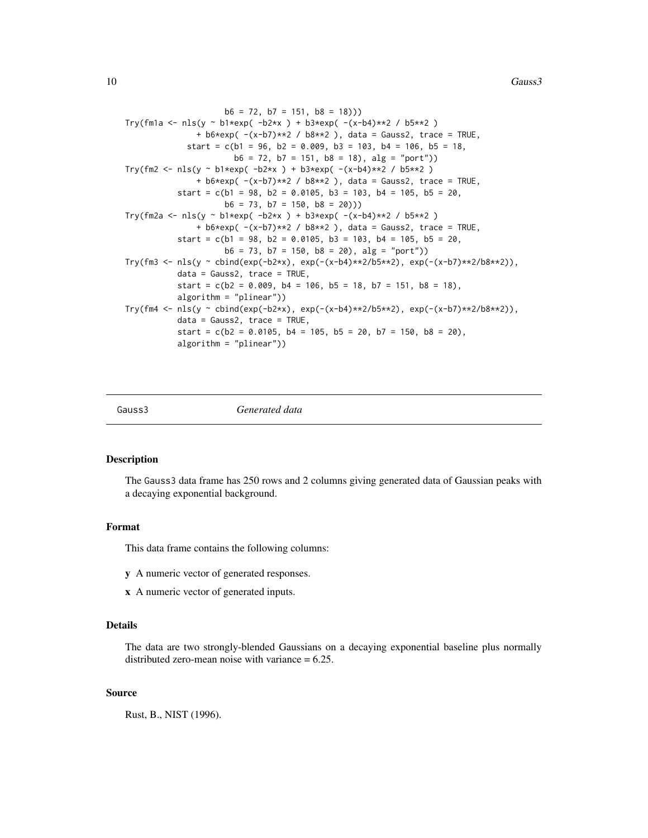```
b6 = 72, b7 = 151, b8 = 18))
Try(fm1a <- nls(y ~ b1*exp( -b2*x ) + b3*exp( -(x-b4)**2 / b5**2 )
               + b6*exp( -(x-b7)**2 / b8**2 ), data = Gauss2, trace = TRUE,
             start = c(b1 = 96, b2 = 0.009, b3 = 103, b4 = 106, b5 = 18,b6 = 72, b7 = 151, b8 = 18), a1g = "port")Try(fm2 <- nls(y ~ b1*exp( -b2*x ) + b3*exp( -(x-b4)**2 / b5**2 )
              + b6*exp(- (x-b7)*2 / b8**2 ), data = Gauss2, trace = TRUE,
           start = c(b1 = 98, b2 = 0.0105, b3 = 103, b4 = 105, b5 = 20,b6 = 73, b7 = 150, b8 = 20))
Try(fm2a <- nls(y ~ b1*exp( -b2*x ) + b3*exp( -(x-b4)**2 / b5**2 )
               + b6*exp( -(x-b7)**2 / b8**2 ), data = Gauss2, trace = TRUE,
           start = c(b1 = 98, b2 = 0.0105, b3 = 103, b4 = 105, b5 = 20,b6 = 73, b7 = 150, b8 = 20), a1g = "port")Try(fm3 <- nls(y ~ cbind(exp(-b2*x), exp(-(x-b4)**2/b5**2), exp(-(x-b7)**2/b8**2)),
           data = Gauss2, trace = TRUE,
           start = c(b2 = 0.009, b4 = 106, b5 = 18, b7 = 151, b8 = 18),
           algorithm = "plinear"))
Try(fmA \leftarrow nls(y \sim child(exp(-b2*x), exp(-(x-b4)*x2/b5*x2), exp(-(x-b7)*x2/b8*x2)),data = Gauss2, trace = TRUE,
           start = c(b2 = 0.0105, b4 = 105, b5 = 20, b7 = 150, b8 = 20),
           algorithm = "plinear"))
```
Gauss3 *Generated data*

#### Description

The Gauss3 data frame has 250 rows and 2 columns giving generated data of Gaussian peaks with a decaying exponential background.

#### Format

This data frame contains the following columns:

- y A numeric vector of generated responses.
- x A numeric vector of generated inputs.

# Details

The data are two strongly-blended Gaussians on a decaying exponential baseline plus normally distributed zero-mean noise with variance  $= 6.25$ .

# Source

Rust, B., NIST (1996).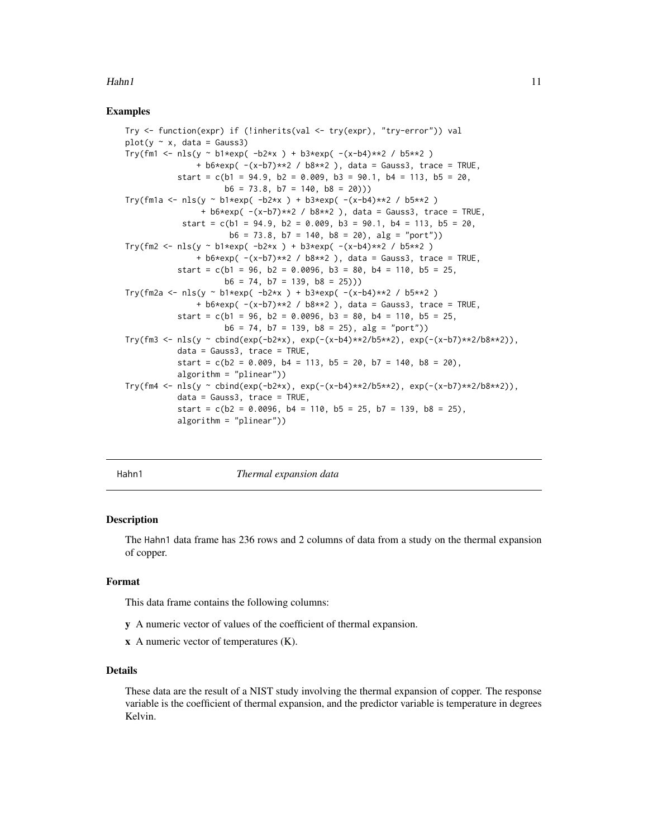#### <span id="page-10-0"></span> $Hahn1$  11

# Examples

```
Try <- function(expr) if (!inherits(val <- try(expr), "try-error")) val
plot(y \sim x, data = Gauss3)Try(fm1 < - nls(y \sim b1*exp(-b2*x) + b3*exp(-(x-b4)*2 / b5*x2))+ b6*exp( -(x-b7)**2 / b8**2 ), data = Gauss3, trace = TRUE,
           start = c(b1 = 94.9, b2 = 0.009, b3 = 90.1, b4 = 113, b5 = 20,b6 = 73.8, b7 = 140, b8 = 20))
Try(fm1a <- nls(y ~ b1*exp( -b2*x ) + b3*exp( -(x-b4)**2 / b5**2 )
                + b6*exp( -(x-b7)**2 / b8**2 ), data = Gauss3, trace = TRUE,
            start = c(b1 = 94.9, b2 = 0.009, b3 = 90.1, b4 = 113, b5 = 20,b6 = 73.8, b7 = 140, b8 = 20), a1g = "port")Try(fm2 <- nls(y ~ b1*exp( -b2*x ) + b3*exp( -(x-b4)**2 / b5**2 )
               + b6*exp(- (x-b7)*2 / b8**2 ), data = Gauss3, trace = TRUE,
           start = c(b1 = 96, b2 = 0.0096, b3 = 80, b4 = 110, b5 = 25,b6 = 74, b7 = 139, b8 = 25))
Try(fm2a <- nls(y ~ b1*exp( -b2*x ) + b3*exp( -(x-b4)**2 / b5**2 )
               + b6*exp( -(x-b7)**2 / b8**2 ), data = Gauss3, trace = TRUE,
           start = c(b1 = 96, b2 = 0.0096, b3 = 80, b4 = 110, b5 = 25,b6 = 74, b7 = 139, b8 = 25), a1g = "port")Try(fm3 <- nls(y ~ cbind(exp(-b2*x), exp(-(x-b4)**2/b5**2), exp(-(x-b7)**2/b8**2)),
           data = Gauss3, trace = TRUE,
           start = c(b2 = 0.009, b4 = 113, b5 = 20, b7 = 140, b8 = 20),
           algorithm = "plinear"))
Try(fmA \leftarrow nls(y \sim child(exp(-b2*x), exp(-(x-b4)*x2/b5*x2), exp(-(x-b7)*x2/b8*x2)),data = Gauss3, trace = TRUE,
           start = c(b2 = 0.0096, b4 = 110, b5 = 25, b7 = 139, b8 = 25),
           algorithm = "plinear"))
```
Hahn1 *Thermal expansion data*

#### **Description**

The Hahn1 data frame has 236 rows and 2 columns of data from a study on the thermal expansion of copper.

# Format

This data frame contains the following columns:

- y A numeric vector of values of the coefficient of thermal expansion.
- x A numeric vector of temperatures (K).

# Details

These data are the result of a NIST study involving the thermal expansion of copper. The response variable is the coefficient of thermal expansion, and the predictor variable is temperature in degrees Kelvin.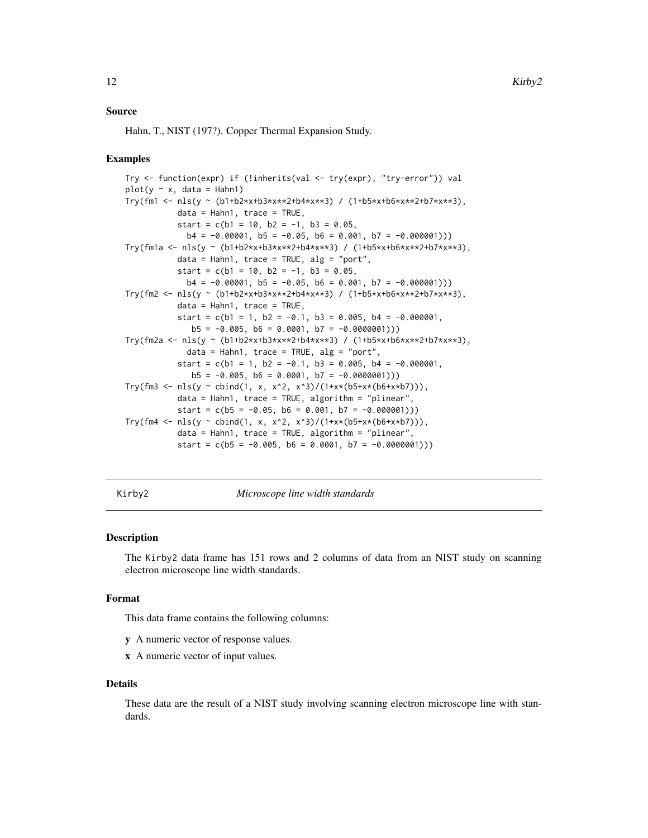# <span id="page-11-0"></span>Source

Hahn, T., NIST (197?). Copper Thermal Expansion Study.

# Examples

```
Try <- function(expr) if (!inherits(val <- try(expr), "try-error")) val
plot(y \sim x, data = Hahn1)Try(fm1 <- nls(y ~ (b1+b2*x+b3*x**2+b4*x**3) / (1+b5*x+b6*x**2+b7*x**3),
          data = Hahn1, trace = TRUE,
          start = c(b1 = 10, b2 = -1, b3 = 0.05,b4 = -0.00001, b5 = -0.05, b6 = 0.001, b7 = -0.000001))
Try(fm1a <- nls(y ~ (b1+b2*x+b3*x**2+b4*x**3) / (1+b5*x+b6*x**2+b7*x**3),
          data = Hahn1, trace = TRUE, alg = "port",
           start = c(b1 = 10, b2 = -1, b3 = 0.05,b4 = -0.00001, b5 = -0.05, b6 = 0.001, b7 = -0.000001))
Try(fm2 <- nls(y ~ (b1+b2*x+b3*x**2+b4*x**3) / (1+b5*x+b6*x**2+b7*x**3),
          data = Hahn1, trace = TRUE,
           start = c(b1 = 1, b2 = -0.1, b3 = 0.005, b4 = -0.000001,b5 = -0.005, b6 = 0.0001, b7 = -0.0000001)Try(fm2a <- nls(y ~ (b1+b2*x+b3*x**2+b4*x**3) / (1+b5*x+b6*x**2+b7*x**3),
            data = Hahn1, trace = TRUE, alg = "port",
           start = c(b1 = 1, b2 = -0.1, b3 = 0.005, b4 = -0.000001,b5 = -0.005, b6 = 0.0001, b7 = -0.0000001))
Try(fm3 <- nls(y ~ cbind(1, x, x^2, x^3)/(1+x*(b5+x*(b6+x*b7))),
          data = Hahn1, trace = TRUE, algorithm = "plinear",
          start = c(b5 = -0.05, b6 = 0.001, b7 = -0.000001))Try(fm4 <- nls(y ~ cbind(1, x, x^2, x^3)/(1+x*(b5+x*(b6+x*b7))),
          data = Hahn1, trace = TRUE, algorithm = "plinear",
           start = c(b5 = -0.005, b6 = 0.0001, b7 = -0.0000001))
```
Kirby2 *Microscope line width standards*

#### **Description**

The Kirby2 data frame has 151 rows and 2 columns of data from an NIST study on scanning electron microscope line width standards.

#### Format

This data frame contains the following columns:

- y A numeric vector of response values.
- x A numeric vector of input values.

#### Details

These data are the result of a NIST study involving scanning electron microscope line with standards.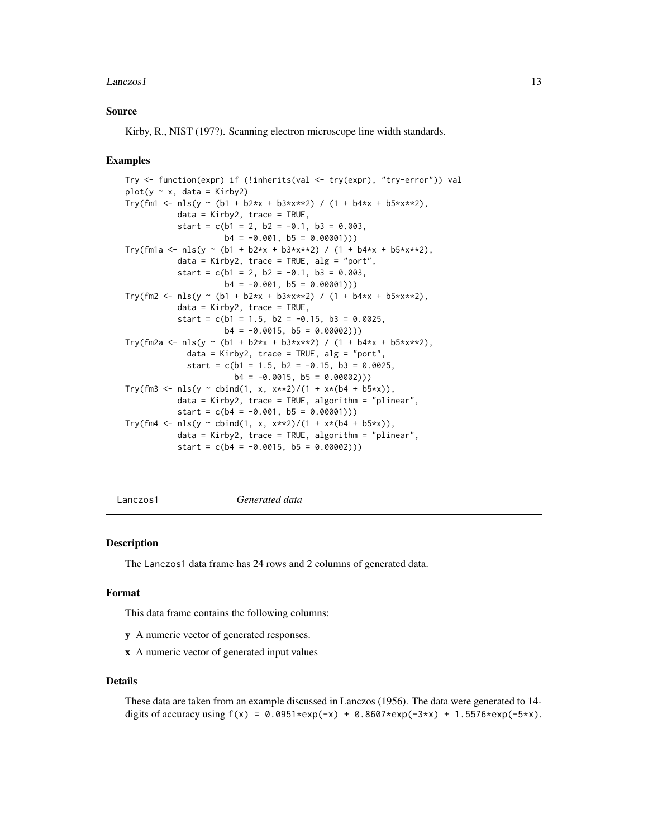#### <span id="page-12-0"></span> $Lanczos1$  13

# Source

Kirby, R., NIST (197?). Scanning electron microscope line width standards.

#### Examples

```
Try <- function(expr) if (!inherits(val <- try(expr), "try-error")) val
plot(y \sim x, data = Kirby2)Try(fm1 <- nls(y ~ (b1 + b2*x + b3*x**2) / (1 + b4*x + b5*x**2),
          data = King2, trace = TRUE,
           start = c(b1 = 2, b2 = -0.1, b3 = 0.003,b4 = -0.001, b5 = 0.00001))Try(fm1a \leq nls(y \leq (b1 + b2*x + b3*x*x)) / (1 + b4*x + b5*x*x),data = Kirby2, trace = TRUE, alg = "port",
           start = c(b1 = 2, b2 = -0.1, b3 = 0.003,b4 = -0.001, b5 = 0.00001))
Try(fm2 <- nls(y ~ (b1 + b2*x + b3*x**2) / (1 + b4*x + b5*x**2),
          data = Kirby2, trace = TRUE,
           start = c(b1 = 1.5, b2 = -0.15, b3 = 0.0025,b4 = -0.0015, b5 = 0.00002))
Try(fm2a <- nls(y ~ (b1 + b2*x + b3*x**2) / (1 + b4*x + b5*x**2),
            data = King2, trace = TRUE, alg = "port",start = c(b1 = 1.5, b2 = -0.15, b3 = 0.0025,b4 = -0.0015, b5 = 0.00002))
Try(fm3 <- nls(y ~ cbind(1, x, x**2)/(1 + x*(b4 + b5*x)),
          data = Kirby2, trace = TRUE, algorithm = "plinear",
          start = c(b4 = -0.001, b5 = 0.00001))Try(fm4 <- nls(y ~ cbind(1, x, x**2)/(1 + x*(b4 + b5*x)),
          data = Kirby2, trace = TRUE, algorithm = "plinear",
           start = c(b4 = -0.0015, b5 = 0.00002))
```
Lanczos1 *Generated data*

#### Description

The Lanczos1 data frame has 24 rows and 2 columns of generated data.

#### Format

This data frame contains the following columns:

- y A numeric vector of generated responses.
- x A numeric vector of generated input values

#### Details

```
These data are taken from an example discussed in Lanczos (1956). The data were generated to 14-
digits of accuracy using f(x) = 0.0951*exp(-x) + 0.8607*exp(-3*x) + 1.5576*exp(-5*x).
```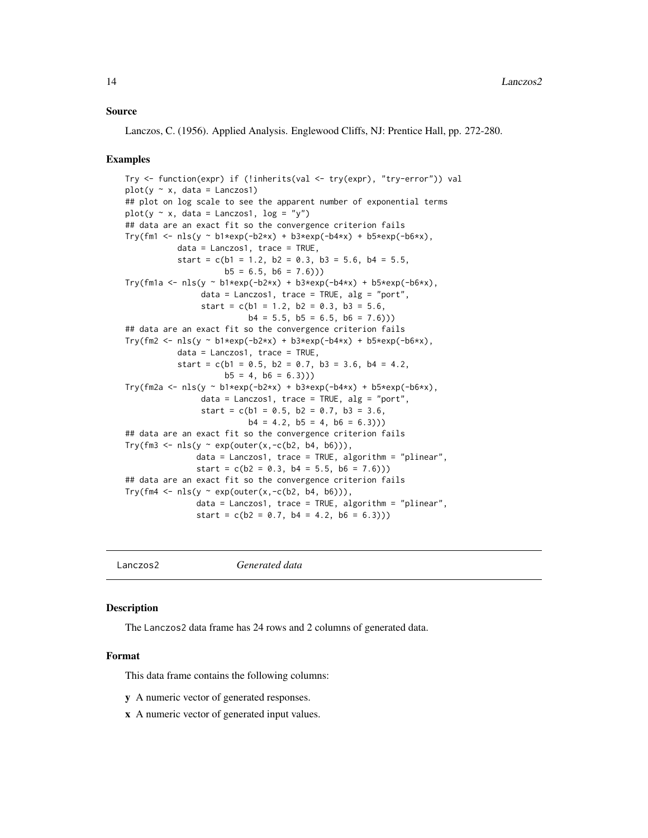# <span id="page-13-0"></span>Source

Lanczos, C. (1956). Applied Analysis. Englewood Cliffs, NJ: Prentice Hall, pp. 272-280.

#### Examples

```
Try <- function(expr) if (!inherits(val <- try(expr), "try-error")) val
plot(y \sim x, data = Lanczos1)## plot on log scale to see the apparent number of exponential terms
plot(y \sim x, data = Lanczos1, log = "y")
## data are an exact fit so the convergence criterion fails
Try(fm1 <- nls(y \sim b1*exp(-b2*x) + b3*exp(-b4*x) + b5*exp(-b6*x),
           data = Lanczos1, trace = TRUE,start = c(b1 = 1.2, b2 = 0.3, b3 = 5.6, b4 = 5.5,b5 = 6.5, b6 = 7.6))
Try(fm1a \leq nls(y \leq bl*exp(-b2*x) + b3*exp(-b4*x) + b5*exp(-b6*x),data = Lanczos1, trace = TRUE, alg = "port",start = c(b1 = 1.2, b2 = 0.3, b3 = 5.6,b4 = 5.5, b5 = 6.5, b6 = 7.6))
## data are an exact fit so the convergence criterion fails
Try(fm2 \leq nls(y \leq b1*exp(-b2*x) + b3*exp(-b4*x) + b5*exp(-b6*x),data = Lanczos1, trace = TRUE,
           start = c(b1 = 0.5, b2 = 0.7, b3 = 3.6, b4 = 4.2,b5 = 4, b6 = 6.3))
Try(fm2a <- nls(y ~ b1*exp(-b2*x) + b3*exp(-b4*x) + b5*exp(-b6*x),
                data = Lanczos1, trace = TRUE, alg = "port",start = c(b1 = 0.5, b2 = 0.7, b3 = 3.6,b4 = 4.2, b5 = 4, b6 = 6.3))
## data are an exact fit so the convergence criterion fails
Try(fm3 <- nls(y \sim exp(outer(x,-c(b2, b4, b6))),
               data = Lanczos1, trace = TRUE, algorithm = "plinear",
               start = c(b2 = 0.3, b4 = 5.5, b6 = 7.6))## data are an exact fit so the convergence criterion fails
Try(fm4 <- nls(y \sim exp(outr(x,-c(b2, b4, b6))),
               data = Lanczos1, trace = TRUE, algorithm = "plinear",
               start = c(b2 = 0.7, b4 = 4.2, b6 = 6.3))
```
Lanczos2 *Generated data*

#### **Description**

The Lanczos2 data frame has 24 rows and 2 columns of generated data.

#### Format

This data frame contains the following columns:

y A numeric vector of generated responses.

x A numeric vector of generated input values.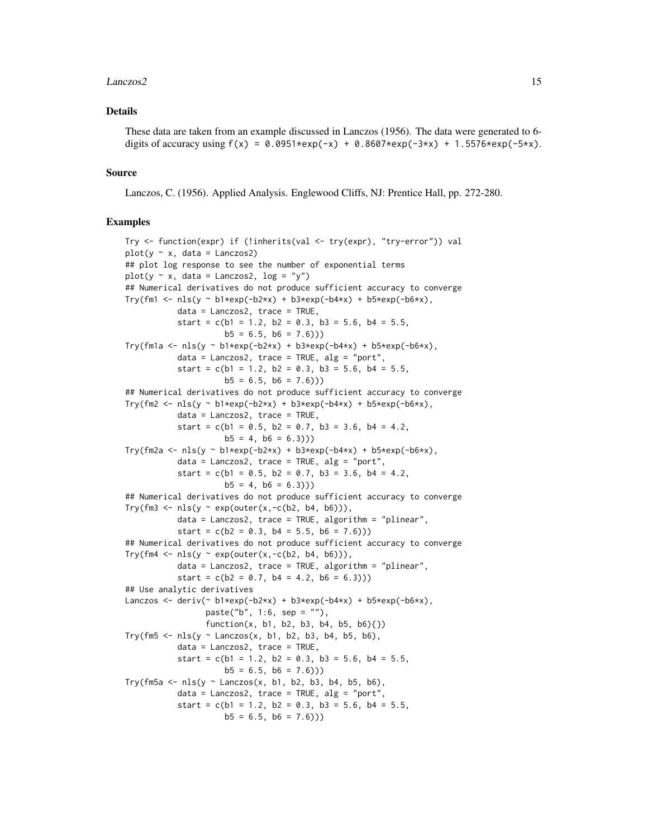# Lanczos2 15

# Details

These data are taken from an example discussed in Lanczos (1956). The data were generated to 6 digits of accuracy using  $f(x) = 0.0951*exp(-x) + 0.8607*exp(-3*x) + 1.5576*exp(-5*x)$ .

# Source

Lanczos, C. (1956). Applied Analysis. Englewood Cliffs, NJ: Prentice Hall, pp. 272-280.

```
Try <- function(expr) if (!inherits(val <- try(expr), "try-error")) val
plot(y \sim x, data = Lanczos2)## plot log response to see the number of exponential terms
plot(y \sim x, data = Lanczos2, log = "y")## Numerical derivatives do not produce sufficient accuracy to converge
Try(fm1 <- nls(y \sim b1*exp(-b2*x) + b3*exp(-b4*x) + b5*exp(-b6*x),
           data = Lanczos2, trace = TRUE,
           start = c(b1 = 1.2, b2 = 0.3, b3 = 5.6, b4 = 5.5,b5 = 6.5, b6 = 7.6))
Try(fm1a <- nls(y ~ b1*exp(-b2*x) + b3*exp(-b4*x) + b5*exp(-b6*x),
           data = Lanczos2, trace = TRUE, alg = "port",start = c(b1 = 1.2, b2 = 0.3, b3 = 5.6, b4 = 5.5,b5 = 6.5, b6 = 7.6))
## Numerical derivatives do not produce sufficient accuracy to converge
Try(fm2 <- nls(y \sim bl*exp(-b2*x) + b3*exp(-b4*x) + b5*exp(-b6*x),
           data = Lanczos2, trace = TRUE,
           start = c(b1 = 0.5, b2 = 0.7, b3 = 3.6, b4 = 4.2,b5 = 4, b6 = 6.3)
Try(fm2a <- nls(y ~ b1*exp(-b2*x) + b3*exp(-b4*x) + b5*exp(-b6*x),
           data = Lanczos2, trace = TRUE, alg = "port",start = c(b1 = 0.5, b2 = 0.7, b3 = 3.6, b4 = 4.2,b5 = 4, b6 = 6.3))
## Numerical derivatives do not produce sufficient accuracy to converge
Try(fm3 <- nls(y \sim exp(outr(x,-c(b2, b4, b6))),
           data = Lanczos2, trace = TRUE, algorithm = "plinear",
           start = c(b2 = 0.3, b4 = 5.5, b6 = 7.6))## Numerical derivatives do not produce sufficient accuracy to converge
Try(fm4 <- nls(y ~ exp(outer(x,-c(b2, b4, b6))),
           data = Lanczos2, trace = TRUE, algorithm = "plinear",
           start = c(b2 = 0.7, b4 = 4.2, b6 = 6.3))## Use analytic derivatives
Lanczos <- deriv(~ b1*exp(-b2*x) + b3*exp(-b4*x) + b5*exp(-b6*x),
                 paste("b", 1:6, sep = ""),
                 function(x, b1, b2, b3, b4, b5, b6){})Try(fm5 <- nls(y \sim Lanczos(x, b1, b2, b3, b4, b5, b6),
           data = Lanczos2, trace = TRUE,
           start = c(b1 = 1.2, b2 = 0.3, b3 = 5.6, b4 = 5.5,b5 = 6.5, b6 = 7.6))
Try(fm5a \leq nls(y \sim Lanczos(x, b1, b2, b3, b4, b5, b6),
           data = Lanczos2, trace = TRUE, alg = "port",start = c(b1 = 1.2, b2 = 0.3, b3 = 5.6, b4 = 5.5,b5 = 6.5, b6 = 7.6))
```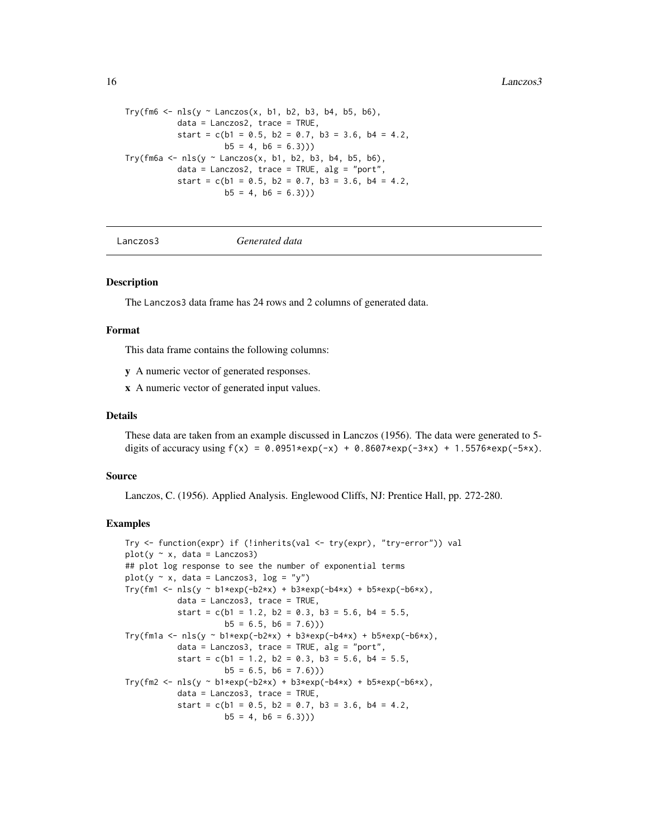```
Try(fm6 \leq nls(y \sim Lanczos(x, b1, b2, b3, b4, b5, b6),
           data = Lanczos2, trace = TRUE,
           start = c(b1 = 0.5, b2 = 0.7, b3 = 3.6, b4 = 4.2,b5 = 4, b6 = 6.3))
Try(fm6a \leq nls(y \sim Lanczos(x, b1, b2, b3, b4, b5, b6),
           data = Lanczos2, trace = TRUE, alg = "port",
           start = c(b1 = 0.5, b2 = 0.7, b3 = 3.6, b4 = 4.2,b5 = 4, b6 = 6.3))
```
Lanczos3 *Generated data*

# **Description**

The Lanczos3 data frame has 24 rows and 2 columns of generated data.

# Format

This data frame contains the following columns:

- y A numeric vector of generated responses.
- x A numeric vector of generated input values.

#### Details

These data are taken from an example discussed in Lanczos (1956). The data were generated to 5 digits of accuracy using  $f(x) = 0.0951*exp(-x) + 0.8607*exp(-3*x) + 1.5576*exp(-5*x)$ .

# Source

Lanczos, C. (1956). Applied Analysis. Englewood Cliffs, NJ: Prentice Hall, pp. 272-280.

```
Try <- function(expr) if (!inherits(val <- try(expr), "try-error")) val
plot(y \sim x, data = Lanczos3)## plot log response to see the number of exponential terms
plot(y \sim x, data = Lanczos3, log = "y")Try(fm1 <- nls(y \sim b1*exp(-b2*x) + b3*exp(-b4*x) + b5*exp(-b6*x),
           data = Lanczos3, trace = TRUE,
           start = c(b1 = 1.2, b2 = 0.3, b3 = 5.6, b4 = 5.5,b5 = 6.5, b6 = 7.6))
Try(fm1a <- nls(y ~ b1*exp(-b2*x) + b3*exp(-b4*x) + b5*exp(-b6*x),
           data = Lanczos3, trace = TRUE, alg = "port",start = c(b1 = 1.2, b2 = 0.3, b3 = 5.6, b4 = 5.5,b5 = 6.5, b6 = 7.6))
Try(fm2 <- nls(y ~ b1*exp(-b2*x) + b3*exp(-b4*x) + b5*exp(-b6*x),
           data = Lanczos3, trace = TRUE,
           start = c(b1 = 0.5, b2 = 0.7, b3 = 3.6, b4 = 4.2,b5 = 4, b6 = 6.3))
```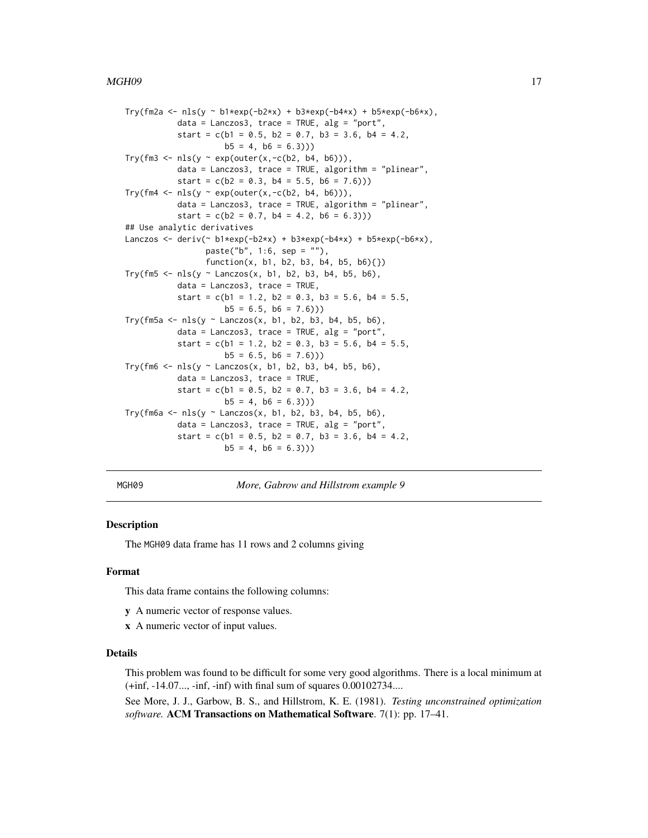```
Try(fm2a <- nls(y ~ b1*exp(-b2*x) + b3*exp(-b4*x) + b5*exp(-b6*x),
           data = Lanczos3, trace = TRUE, alg = "port",start = c(b1 = 0.5, b2 = 0.7, b3 = 3.6, b4 = 4.2,b5 = 4, b6 = 6.3))
Try(fm3 <- nls(y \sim exp(outr(x,-c(b2, b4, b6))),
           data = Lanczos3, trace = TRUE, algorithm = "plinear",
           start = c(b2 = 0.3, b4 = 5.5, b6 = 7.6))Try(fm4 <- nls(y \sim exp(outr(x,-c(b2, b4, b6))),data = Lanczos3, trace = TRUE, algorithm = "plinear",
           start = c(b2 = 0.7, b4 = 4.2, b6 = 6.3))## Use analytic derivatives
Lanczos <- deriv(~ b1*exp(-b2*x) + b3*exp(-b4*x) + b5*exp(-b6*x),
                 paste("b", 1:6, sep = ""),
                 function(x, b1, b2, b3, b4, b5, b6){})Try(fm5 \leq nls(y \sim Lanczos(x, b1, b2, b3, b4, b5, b6),
           data = Lanczos3, trace = TRUE,
           start = c(b1 = 1.2, b2 = 0.3, b3 = 5.6, b4 = 5.5,b5 = 6.5, b6 = 7.6))
Try(fm5a <- nls(y \sim Lanczos(x, b1, b2, b3, b4, b5, b6),
           data = Lanczos3, trace = TRUE, alg = "port",start = c(b1 = 1.2, b2 = 0.3, b3 = 5.6, b4 = 5.5,b5 = 6.5, b6 = 7.6))
Try(fm6 \leq nls(y \sim Lanczos(x, b1, b2, b3, b4, b5, b6),
           data = Lanczos3, trace = TRUE,
           start = c(b1 = 0.5, b2 = 0.7, b3 = 3.6, b4 = 4.2,b5 = 4, b6 = 6.3))
Try(fm6a \leq nls(y \sim Lanczos(x, b1, b2, b3, b4, b5, b6),
           data = Lanczos3, trace = TRUE, alg = "port",start = c(b1 = 0.5, b2 = 0.7, b3 = 3.6, b4 = 4.2,b5 = 4, b6 = 6.3))
```
MGH09 *More, Gabrow and Hillstrom example 9*

# Description

The MGH09 data frame has 11 rows and 2 columns giving

#### Format

This data frame contains the following columns:

- y A numeric vector of response values.
- x A numeric vector of input values.

# Details

This problem was found to be difficult for some very good algorithms. There is a local minimum at (+inf, -14.07..., -inf, -inf) with final sum of squares 0.00102734....

See More, J. J., Garbow, B. S., and Hillstrom, K. E. (1981). *Testing unconstrained optimization software.* ACM Transactions on Mathematical Software. 7(1): pp. 17–41.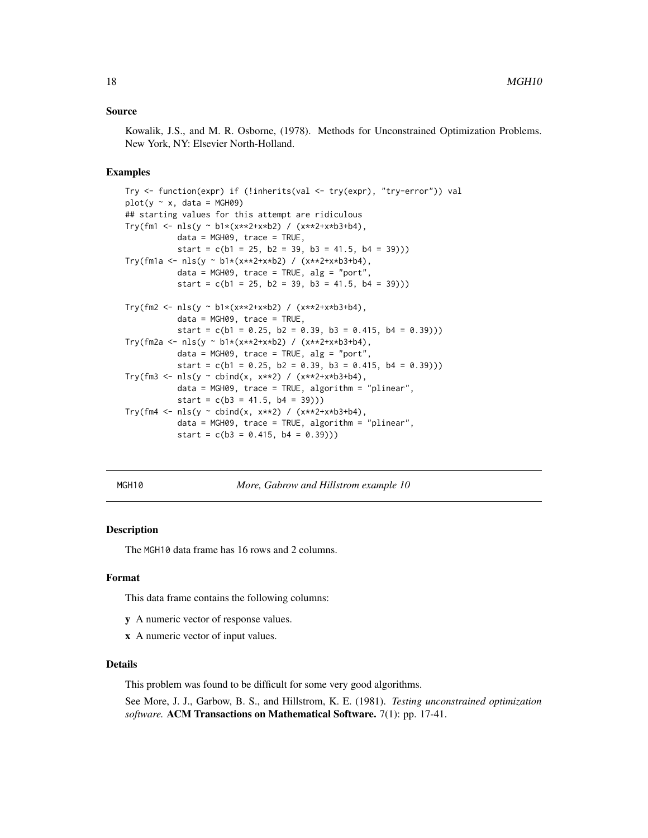# <span id="page-17-0"></span>Source

Kowalik, J.S., and M. R. Osborne, (1978). Methods for Unconstrained Optimization Problems. New York, NY: Elsevier North-Holland.

#### Examples

```
Try <- function(expr) if (!inherits(val <- try(expr), "try-error")) val
plot(y \sim x, data = MGH09)## starting values for this attempt are ridiculous
Try(fm1 <- nls(y ~ b1*(x**2+x*b2) / (x**2+x*b3+b4),
          data = MGH09, trace = TRUE,
           start = c(b1 = 25, b2 = 39, b3 = 41.5, b4 = 39)))Try(fm1a <- nls(y ~ b1*(x**2+x*b2) / (x**2+x*b3+b4),
           data = MGH09, trace = TRUE, alg = "port",start = c(b1 = 25, b2 = 39, b3 = 41.5, b4 = 39))Try(fm2 <- nls(y ~ b1*(x**2+x*b2) / (x**2+x*b3+b4),
           data = MGH09, trace = TRUE,
           start = c(b1 = 0.25, b2 = 0.39, b3 = 0.415, b4 = 0.39))Try(fm2a <- nls(y ~ b1*(x**2+x*b2) / (x**2+x*b3+b4),
           data = MGH09, trace = TRUE, alg = "port",start = c(b1 = 0.25, b2 = 0.39, b3 = 0.415, b4 = 0.39))Try(fm3 \leq nls(y \sim \text{cbind}(x, x**2) / (x**2+x*b3+b4),data = MGH09, trace = TRUE, algorithm = "plinear",
           start = c(b3 = 41.5, b4 = 39))Try(fm4 <- nls(y \sim \text{cbind}(x, x**2) / (x**2+x*b3+b4),
           data = MGH09, trace = TRUE, algorithm = "plinear",
           start = c(b3 = 0.415, b4 = 0.39))
```
MGH10 *More, Gabrow and Hillstrom example 10*

# Description

The MGH10 data frame has 16 rows and 2 columns.

#### Format

This data frame contains the following columns:

- y A numeric vector of response values.
- x A numeric vector of input values.

# Details

This problem was found to be difficult for some very good algorithms.

See More, J. J., Garbow, B. S., and Hillstrom, K. E. (1981). *Testing unconstrained optimization software.* ACM Transactions on Mathematical Software. 7(1): pp. 17-41.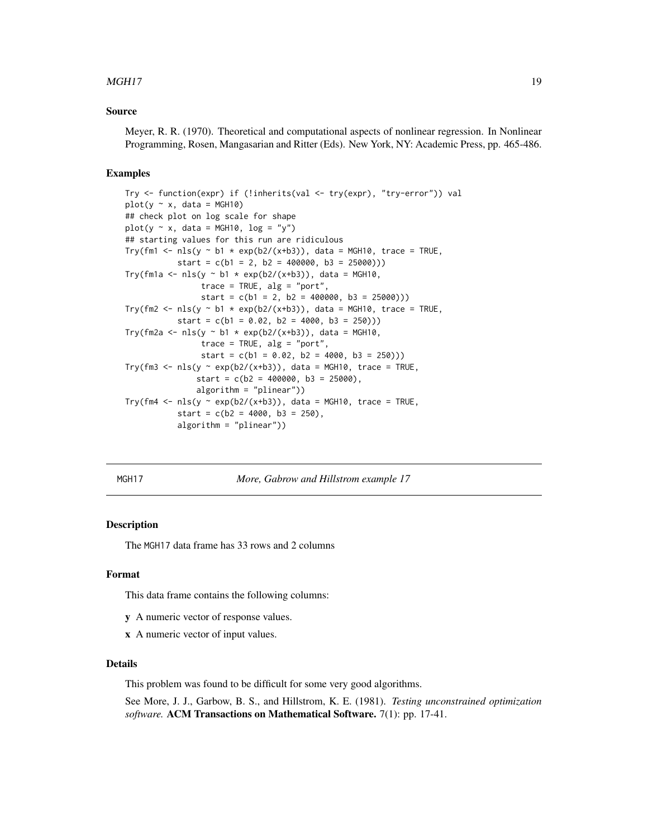# <span id="page-18-0"></span> $MGH17$  and the contract of the contract of the contract of the contract of the contract of the contract of the contract of the contract of the contract of the contract of the contract of the contract of the contract of th

# Source

Meyer, R. R. (1970). Theoretical and computational aspects of nonlinear regression. In Nonlinear Programming, Rosen, Mangasarian and Ritter (Eds). New York, NY: Academic Press, pp. 465-486.

# Examples

```
Try <- function(expr) if (!inherits(val <- try(expr), "try-error")) val
plot(y \sim x, data = MGH10)## check plot on log scale for shape
plot(y \sim x, data = MGH10, log = "y")## starting values for this run are ridiculous
Try(fm1 <- nls(y ~ b1 * exp(b2/(x+b3)), data = MGH10, trace = TRUE,
          start = c(b1 = 2, b2 = 400000, b3 = 25000))Try(fm1a <- nls(y ~ b1 * exp(b2/(x+b3)), data = MGH10,
                trace = TRUE, alg = "port",start = c(b1 = 2, b2 = 400000, b3 = 25000))Try(fm2 <- nls(y ~ b1 * exp(b2/(x+b3)), data = MGH10, trace = TRUE,
          start = c(b1 = 0.02, b2 = 4000, b3 = 250))Try(fm2a <- nls(y ~ b1 * exp(b2/(x+b3)), data = MGH10,
                trace = TRUE, alg = "port",start = c(b1 = 0.02, b2 = 4000, b3 = 250))Try(fm3 <- nls(y ~ exp(b2/(x+b3)), data = MGH10, trace = TRUE,
               start = c(b2 = 400000, b3 = 25000),
               algorithm = "plinear"))
Try(fm4 <- nls(y ~ exp(b2/(x+b3)), data = MGH10, trace = TRUE,
           start = c(b2 = 4000, b3 = 250),
           algorithm = "plinear"))
```
MGH17 *More, Gabrow and Hillstrom example 17*

# **Description**

The MGH17 data frame has 33 rows and 2 columns

# Format

This data frame contains the following columns:

- y A numeric vector of response values.
- x A numeric vector of input values.

#### Details

This problem was found to be difficult for some very good algorithms.

See More, J. J., Garbow, B. S., and Hillstrom, K. E. (1981). *Testing unconstrained optimization software.* ACM Transactions on Mathematical Software. 7(1): pp. 17-41.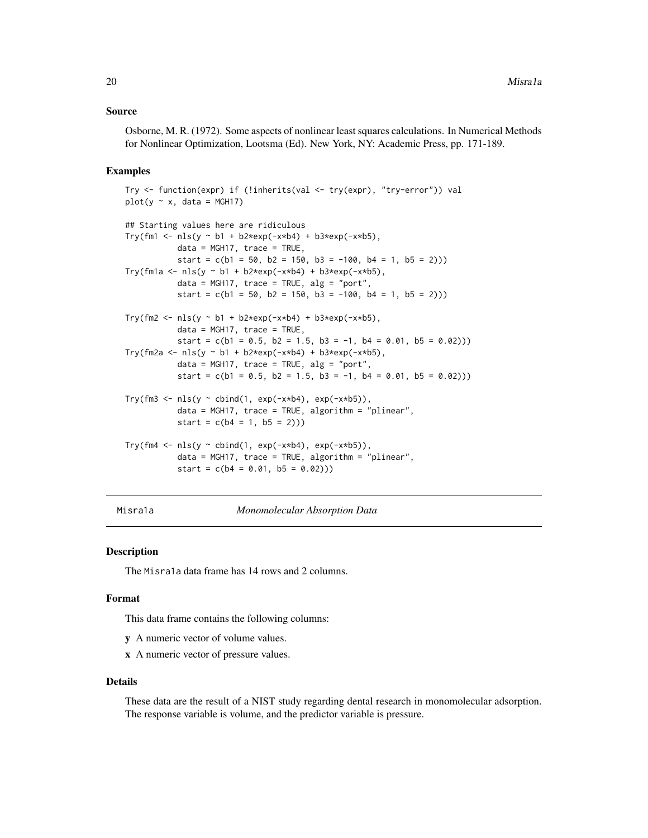# <span id="page-19-0"></span>Source

Osborne, M. R. (1972). Some aspects of nonlinear least squares calculations. In Numerical Methods for Nonlinear Optimization, Lootsma (Ed). New York, NY: Academic Press, pp. 171-189.

# Examples

```
Try <- function(expr) if (!inherits(val <- try(expr), "try-error")) val
plot(y \sim x, data = MGH17)## Starting values here are ridiculous
Try(fm1 <- nls(y \sim b1 + b2*exp(-x*b4) + b3*exp(-x*b5),
           data = MGH17, trace = TRUE,
           start = c(b1 = 50, b2 = 150, b3 = -100, b4 = 1, b5 = 2))Try(fm1a <- nls(y \sim b1 + b2*exp(-x*b4) + b3*exp(-x*b5),
           data = MGH17, trace = TRUE, alg = "port",start = c(b1 = 50, b2 = 150, b3 = -100, b4 = 1, b5 = 2))Try(fm2 <- nls(y ~ b1 + b2*exp(-x*b4) + b3*exp(-x*b5),
           data = MGH17, trace = TRUE,
           start = c(b1 = 0.5, b2 = 1.5, b3 = -1, b4 = 0.01, b5 = 0.02))Try(fm2a <- nls(y ~ b1 + b2*exp(-x*b4) + b3*exp(-x*b5),
           data = MGH17, trace = TRUE, alg = "port",start = c(b1 = 0.5, b2 = 1.5, b3 = -1, b4 = 0.01, b5 = 0.02))Try(fm3 <- nls(y \sim \text{cbind}(1, \text{exp}(-x*b4), \text{exp}(-x*b5)),data = MGH17, trace = TRUE, algorithm = "plinear",
           start = c(b4 = 1, b5 = 2))Try(fm4 <- nls(y \sim \text{cbind}(1, \text{exp}(-x*b4), \text{exp}(-x*b5)),data = MGH17, trace = TRUE, algorithm = "plinear",
           start = c(b4 = 0.01, b5 = 0.02))
```
Misra1a *Monomolecular Absorption Data*

# **Description**

The Misra1a data frame has 14 rows and 2 columns.

# Format

This data frame contains the following columns:

- y A numeric vector of volume values.
- x A numeric vector of pressure values.

#### Details

These data are the result of a NIST study regarding dental research in monomolecular adsorption. The response variable is volume, and the predictor variable is pressure.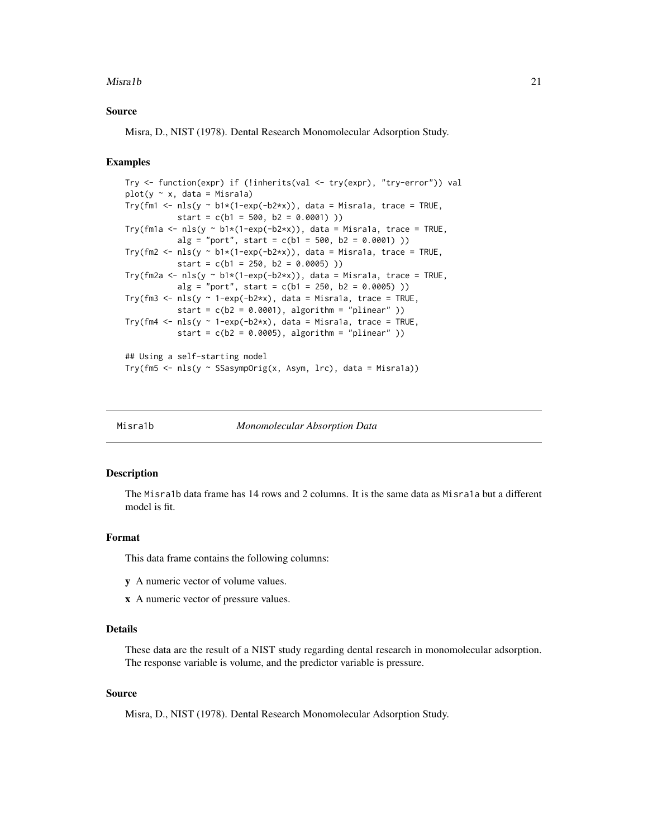#### <span id="page-20-0"></span>Misralb 21

# Source

Misra, D., NIST (1978). Dental Research Monomolecular Adsorption Study.

# Examples

```
Try <- function(expr) if (!inherits(val <- try(expr), "try-error")) val
plot(y \sim x, data = Misrala)Try(fm1 <- nls(y \sim bl*(1-exp(-b2*x)), data = Misra1a, trace = TRUE,
           start = c(b1 = 500, b2 = 0.0001))
Try(fm1a <- nls(y ~ b1*(1-exp(-b2*x)), data = Misra1a, trace = TRUE,
           alg = "port", start = c(b1 = 500, b2 = 0.0001))Try(fm2 <- nls(y \sim bl*(1-exp(-b2*x)), data = Misra1a, trace = TRUE,
           start = c(b1 = 250, b2 = 0.0005))
Try(fm2a <- nls(y ~ b1*(1-exp(-b2*x)), data = Misra1a, trace = TRUE,
           alg = "port", start = c(b1 = 250, b2 = 0.0005))Try(fm3 <- nls(y \sim 1-exp(-b2*x), data = Misra1a, trace = TRUE,
          start = c(b2 = 0.0001), algorithm = "plinear" ))
Try(fm4 <- nls(y ~ 1-exp(-b2*x), data = Misra1a, trace = TRUE,
           start = c(b2 = 0.0005), algorithm = "plinear" ))
## Using a self-starting model
Try(fm5 <- nls(y ~ SSasympOrig(x, Asym, lrc), data = Misra1a))
```
Misra1b *Monomolecular Absorption Data*

#### **Description**

The Misra1b data frame has 14 rows and 2 columns. It is the same data as Misra1a but a different model is fit.

# Format

This data frame contains the following columns:

- y A numeric vector of volume values.
- x A numeric vector of pressure values.

# Details

These data are the result of a NIST study regarding dental research in monomolecular adsorption. The response variable is volume, and the predictor variable is pressure.

# Source

Misra, D., NIST (1978). Dental Research Monomolecular Adsorption Study.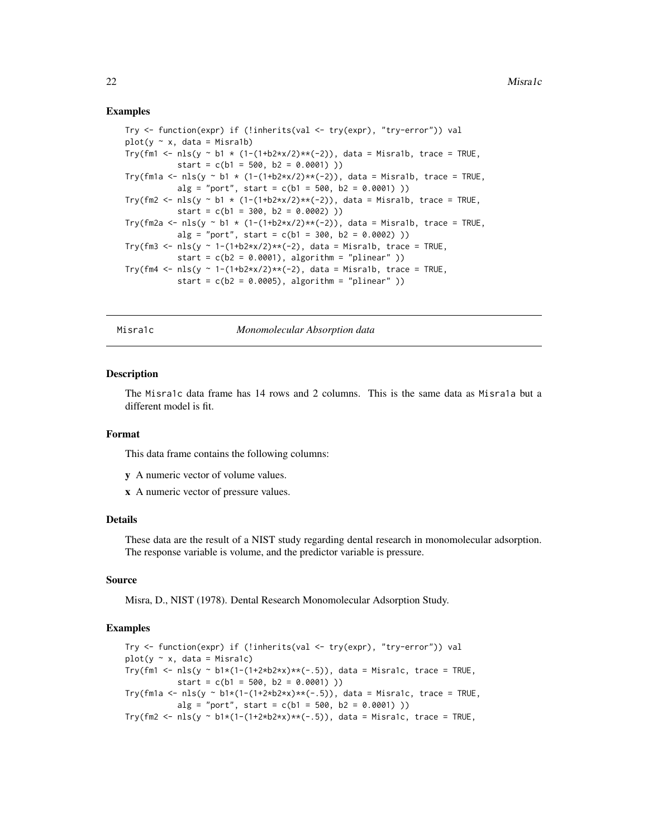# Examples

```
Try <- function(expr) if (!inherits(val <- try(expr), "try-error")) val
plot(y \sim x, data = Misra1b)Try(fm1 <- nls(y ~ b1 * (1-(1+b2*x/2)**(-2)), data = Misra1b, trace = TRUE,
           start = c(b1 = 500, b2 = 0.0001))
Try(fm1a <- nls(y ~ b1 * (1-(1+b2*x/2)**(-2)), data = Misra1b, trace = TRUE,
           alg = "port", start = c(b1 = 500, b2 = 0.0001))Try(fm2 <- nls(y ~ b1 * (1-(1+b2*x/2)**(-2)), data = Misra1b, trace = TRUE,
           start = c(b1 = 300, b2 = 0.0002))
Try(fm2a <- nls(y ~ b1 * (1-(1+b2*x/2)**(-2)), data = Misra1b, trace = TRUE,
           alg = "port", start = c(b1 = 300, b2 = 0.0002) )Try(fm3 <- nls(y ~ 1-(1+b2*x/2)**(-2), data = Misra1b, trace = TRUE,
           start = c(b2 = 0.0001), algorithm = "plinear" ))
Try(fm4 <- nls(y \sim 1-(1+b2*x/2)*x(-2), data = Misra1b, trace = TRUE,
           start = c(b2 = 0.0005), algorithm = "plinear" ))
```
Misra1c *Monomolecular Absorption data*

#### **Description**

The Misra1c data frame has 14 rows and 2 columns. This is the same data as Misra1a but a different model is fit.

#### Format

This data frame contains the following columns:

- y A numeric vector of volume values.
- x A numeric vector of pressure values.

#### Details

These data are the result of a NIST study regarding dental research in monomolecular adsorption. The response variable is volume, and the predictor variable is pressure.

#### Source

Misra, D., NIST (1978). Dental Research Monomolecular Adsorption Study.

```
Try <- function(expr) if (!inherits(val <- try(expr), "try-error")) val
plot(y \sim x, data = Misra1c)Try(fm1 <- nls(y ~ b1*(1-(1+2*b2*x)**(-.5)), data = Misra1c, trace = TRUE,
          start = c(b1 = 500, b2 = 0.0001))
Try(fm1a <- nls(y ~ b1*(1-(1+2*b2*x)**(-.5)), data = Misra1c, trace = TRUE,
          alg = "port", start = c(b1 = 500, b2 = 0.0001))Try(fm2 <- nls(y ~ b1*(1-(1+2*b2*x)**(-.5)), data = Misra1c, trace = TRUE,
```
<span id="page-21-0"></span>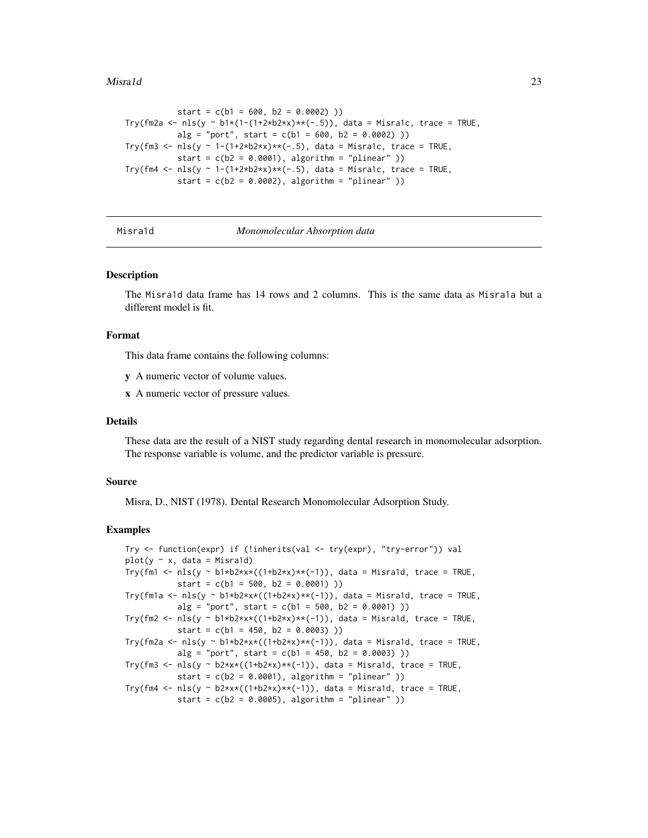#### <span id="page-22-0"></span>Misrald 23

```
start = c(b1 = 600, b2 = 0.0002))
Try(fm2a <- nls(y ~ b1*(1-(1+2*b2*x)**(-.5)), data = Misra1c, trace = TRUE,
          alg = "port", start = c(b1 = 600, b2 = 0.0002) )Try(fm3 <- nls(y ~ 1-(1+2*b2*x)**(-.5), data = Misra1c, trace = TRUE,
          start = c(b2 = 0.0001), algorithm = "plinear" ))
Try(fm4 <- nls(y ~ 1-(1+2*b2*x)**(-.5), data = Misra1c, trace = TRUE,
          start = c(b2 = 0.0002), algorithm = "plinear" ))
```
# Misra1d *Monomolecular Absorption data*

#### **Description**

The Misra1d data frame has 14 rows and 2 columns. This is the same data as Misra1a but a different model is fit.

#### Format

This data frame contains the following columns:

y A numeric vector of volume values.

x A numeric vector of pressure values.

#### Details

These data are the result of a NIST study regarding dental research in monomolecular adsorption. The response variable is volume, and the predictor variable is pressure.

#### Source

Misra, D., NIST (1978). Dental Research Monomolecular Adsorption Study.

```
Try <- function(expr) if (!inherits(val <- try(expr), "try-error")) val
plot(y \sim x, data = Misra1d)Try(fm1 <- nls(y \sim b1*b2*x*((1+b2*x)*x(-1)), data = Misra1d, trace = TRUE,
           start = c(b1 = 500, b2 = 0.0001))
Try(fm1a <- nls(y ~ b1*b2*x*((1+b2*x)**(-1)), data = Misra1d, trace = TRUE,
           alg = "port", start = c(b1 = 500, b2 = 0.0001) )Try(fm2 <- nls(y \sim bl*b2*x*((1+b2*x)*(-1)), data = Misra1d, trace = TRUE,
           start = c(b1 = 450, b2 = 0.0003))
Try(fm2a <- nls(y ~ b1*b2*x*((1+b2*x)**(-1)), data = Misra1d, trace = TRUE,
           alg = "port", start = c(b1 = 450, b2 = 0.0003))Try(fm3 <- nls(y ~ b2*x*((1+b2*x)**(-1)), data = Misra1d, trace = TRUE,
           start = c(b2 = 0.0001), algorithm = "plinear" ))
Try(fm4 <- nls(y \sim b2*x*((1+b2*x)**(-1)), data = Misra1d, trace = TRUE,
           start = c(b2 = 0.0005), algorithm = "plinear" ))
```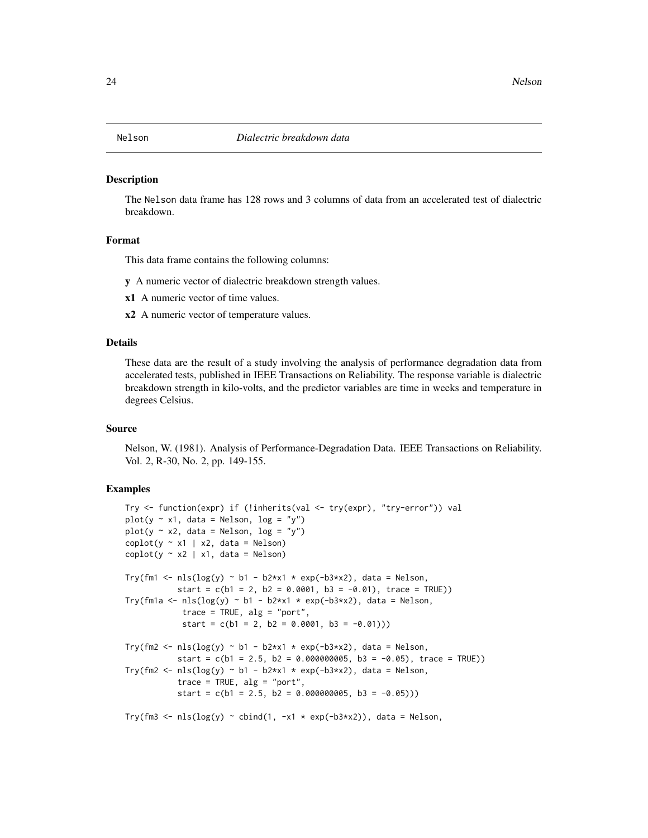<span id="page-23-0"></span>

The Nelson data frame has 128 rows and 3 columns of data from an accelerated test of dialectric breakdown.

#### Format

This data frame contains the following columns:

y A numeric vector of dialectric breakdown strength values.

- x1 A numeric vector of time values.
- x2 A numeric vector of temperature values.

# Details

These data are the result of a study involving the analysis of performance degradation data from accelerated tests, published in IEEE Transactions on Reliability. The response variable is dialectric breakdown strength in kilo-volts, and the predictor variables are time in weeks and temperature in degrees Celsius.

# Source

Nelson, W. (1981). Analysis of Performance-Degradation Data. IEEE Transactions on Reliability. Vol. 2, R-30, No. 2, pp. 149-155.

```
Try <- function(expr) if (!inherits(val <- try(expr), "try-error")) val
plot(y \sim x1, data = Nelson, log = "y")plot(y \sim x2, data = Nelson, log = "y")\text{coplot}(y \sim x1 \mid x2, \text{ data = Nelson})\text{coplot}(y \sim x2 \mid x1, \text{ data = Nelson})Try(fm1 <- nls(log(y) \sim b1 - b2*x1 \times exp(-b3*x2), data = Nelson,
            start = c(b1 = 2, b2 = 0.0001, b3 = -0.01), trace = TRUE))
Try(fm1a <- nls(log(y) \sim b1 - b2*x1 \times exp(-b3*x2), data = Nelson,
             trace = TRUE, alg = "port",
             start = c(b1 = 2, b2 = 0.0001, b3 = -0.01))Try(fm2 <- nls(log(y) \sim b1 - b2*x1 * exp(-b3*x2), data = Nelson,
            start = c(b1 = 2.5, b2 = 0.000000005, b3 = -0.05), trace = TRUE))
Try(fm2 <- nls(log(y) \sim b1 - b2*x1 \times exp(-b3*x2), data = Nelson,
            trace = TRUE, alg = "port",
            start = c(b1 = 2.5, b2 = 0.000000005, b3 = -0.05))Try(fm3 <- nls(log(y) \sim \text{cbind}(1, -x1 \times \exp(-b3 \times x2)), data = Nelson,
```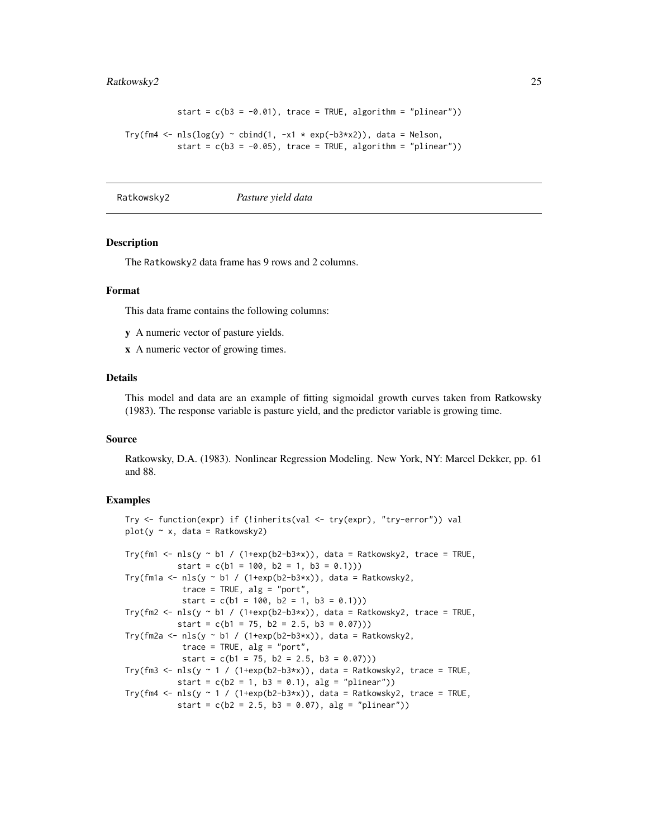# <span id="page-24-0"></span>Ratkowsky2 25

```
start = c(b3 = -0.01), trace = TRUE, algorithm = "plinear"))
Try(fm4 <- nls(log(y) \sim cbind(1, -x1 \times exp(-b3*x2)), data = Nelson,
           start = c(b3 = -0.05), trace = TRUE, algorithm = "plinear"))
```
Ratkowsky2 *Pasture yield data*

#### **Description**

The Ratkowsky2 data frame has 9 rows and 2 columns.

# Format

This data frame contains the following columns:

y A numeric vector of pasture yields.

x A numeric vector of growing times.

# Details

This model and data are an example of fitting sigmoidal growth curves taken from Ratkowsky (1983). The response variable is pasture yield, and the predictor variable is growing time.

#### Source

Ratkowsky, D.A. (1983). Nonlinear Regression Modeling. New York, NY: Marcel Dekker, pp. 61 and 88.

```
Try <- function(expr) if (!inherits(val <- try(expr), "try-error")) val
plot(y \sim x, data = Ratkowsky2)Try(fm1 <- nls(y \sim b1 / (1+exp(b2-b3*x)), data = Ratkowsky2, trace = TRUE,
          start = c(b1 = 100, b2 = 1, b3 = 0.1))Try(fm1a <- nls(y ~ b1 / (1+exp(b2-b3*x)), data = Ratkowsky2,
            trace = TRUE, alg = "port",start = c(b1 = 100, b2 = 1, b3 = 0.1))Try(fm2 <- nls(y ~ b1 / (1+exp(b2-b3*x)), data = Ratkowsky2, trace = TRUE,
           start = c(b1 = 75, b2 = 2.5, b3 = 0.07))Try(fm2a <- nls(y ~ b1 / (1+exp(b2-b3*x)), data = Ratkowsky2,
            trace = TRUE, alg = "port",
            start = c(b1 = 75, b2 = 2.5, b3 = 0.07))Try(fm3 <- nls(y ~ 1 / (1+exp(b2-b3*x)), data = Ratkowsky2, trace = TRUE,
           start = c(b2 = 1, b3 = 0.1), alg = "plinear")Try(fm4 <- nls(y ~ 1 / (1+exp(b2-b3*x)), data = Ratkowsky2, trace = TRUE,
           start = c(b2 = 2.5, b3 = 0.07), alg = "plinear"))
```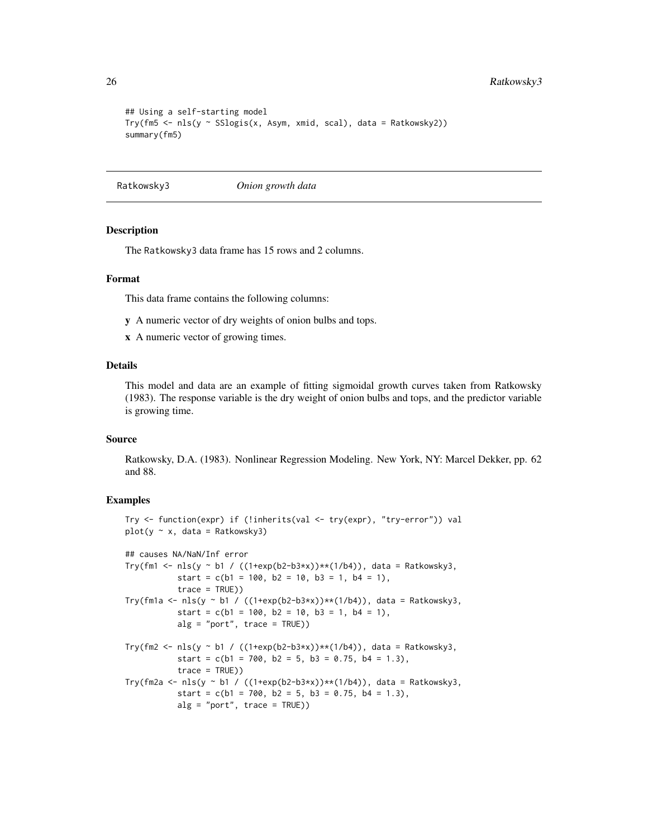```
## Using a self-starting model
Try(fm5 <- nls(y ~ SSlogis(x, Asym, xmid, scal), data = Ratkowsky2))
summary(fm5)
```
Ratkowsky3 *Onion growth data*

# Description

The Ratkowsky3 data frame has 15 rows and 2 columns.

#### Format

This data frame contains the following columns:

- y A numeric vector of dry weights of onion bulbs and tops.
- x A numeric vector of growing times.

# Details

This model and data are an example of fitting sigmoidal growth curves taken from Ratkowsky (1983). The response variable is the dry weight of onion bulbs and tops, and the predictor variable is growing time.

#### Source

Ratkowsky, D.A. (1983). Nonlinear Regression Modeling. New York, NY: Marcel Dekker, pp. 62 and 88.

```
Try <- function(expr) if (!inherits(val <- try(expr), "try-error")) val
plot(y \sim x, data = Ratkowsky3)## causes NA/NaN/Inf error
Try(fm1 <- nls(y ~ b1 / ((1+exp(b2-b3*x))**(1/b4)), data = Ratkowsky3,
          start = c(b1 = 100, b2 = 10, b3 = 1, b4 = 1),
          trace = TRUE))
Try(fm1a <- nls(y ~ b1 / ((1+exp(b2-b3*x))**(1/b4)), data = Ratkowsky3,
          start = c(b1 = 100, b2 = 10, b3 = 1, b4 = 1),
          alg = "port", trace = TRUE))Try(fm2 <- nls(y ~ b1 / ((1+exp(b2-b3*x))**(1/b4)), data = Ratkowsky3,
          start = c(b1 = 700, b2 = 5, b3 = 0.75, b4 = 1.3),
          trace = TRUE))
Try(fm2a <- nls(y ~ b1 / ((1+exp(b2-b3*x))**(1/b4)), data = Ratkowsky3,
          start = c(b1 = 700, b2 = 5, b3 = 0.75, b4 = 1.3),
          alg = "port", trace = TRUE)
```
<span id="page-25-0"></span>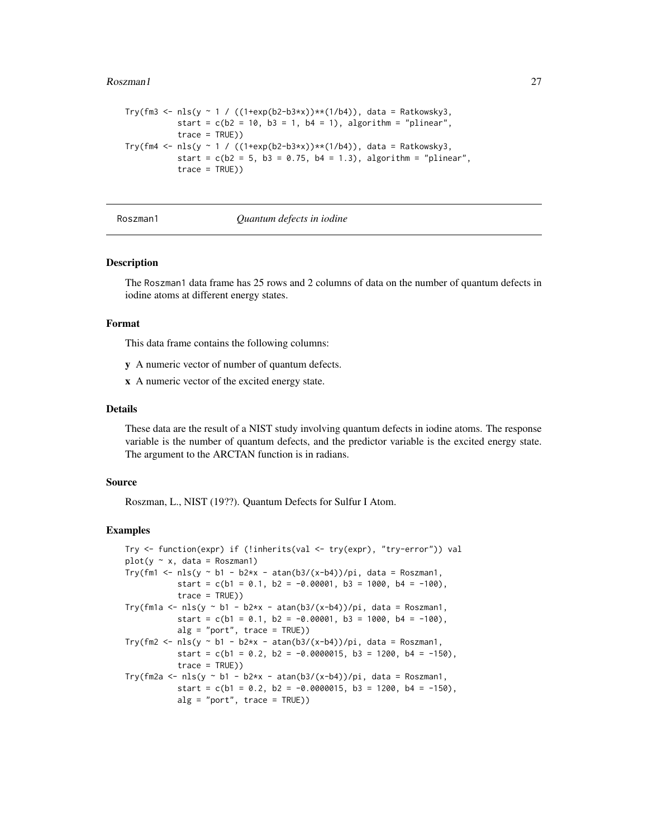#### <span id="page-26-0"></span>Roszman1 27

```
Try(fm3 <- nls(y ~ 1 / ((1+exp(b2-b3*x))**(1/b4)), data = Ratkowsky3,
           start = c(b2 = 10, b3 = 1, b4 = 1), algorithm = "plinear",
           trace = TRUE))
Try(fm4 <- nls(y ~ 1 / ((1+exp(b2-b3*x))**(1/b4)), data = Ratkowsky3,
           start = c(b2 = 5, b3 = 0.75, b4 = 1.3), algorithm = "plinear",
           trace = TRUE))
```
#### Roszman1 *Quantum defects in iodine*

#### Description

The Roszman1 data frame has 25 rows and 2 columns of data on the number of quantum defects in iodine atoms at different energy states.

# Format

This data frame contains the following columns:

- y A numeric vector of number of quantum defects.
- x A numeric vector of the excited energy state.

# Details

These data are the result of a NIST study involving quantum defects in iodine atoms. The response variable is the number of quantum defects, and the predictor variable is the excited energy state. The argument to the ARCTAN function is in radians.

#### Source

Roszman, L., NIST (19??). Quantum Defects for Sulfur I Atom.

```
Try <- function(expr) if (!inherits(val <- try(expr), "try-error")) val
plot(y \sim x, data = Roszman1)Try(fm1 <- nls(y \sim b1 - b2*x - atan(b3/(x-b4))/pi, data = Roszman1,
           start = c(b1 = 0.1, b2 = -0.00001, b3 = 1000, b4 = -100),
           trace = TRUE))
Try(fm1a <- nls(y ~ b1 - b2*x - atan(b3/(x-b4))/pi, data = Roszman1,
           start = c(b1 = 0.1, b2 = -0.00001, b3 = 1000, b4 = -100),
           alg = "port", trace = TRUE))
Try(fm2 <- nls(y \sim b1 - b2*x - atan(b3/(x-b4))/pi, data = Roszman1,
           start = c(b1 = 0.2, b2 = -0.0000015, b3 = 1200, b4 = -150),
           trace = TRUE))
Try(fm2a <- nls(y ~ b1 - b2*x - atan(b3/(x-b4))/pi, data = Roszman1,
           start = c(b1 = 0.2, b2 = -0.0000015, b3 = 1200, b4 = -150),
           alg = "port", trace = TRUE))
```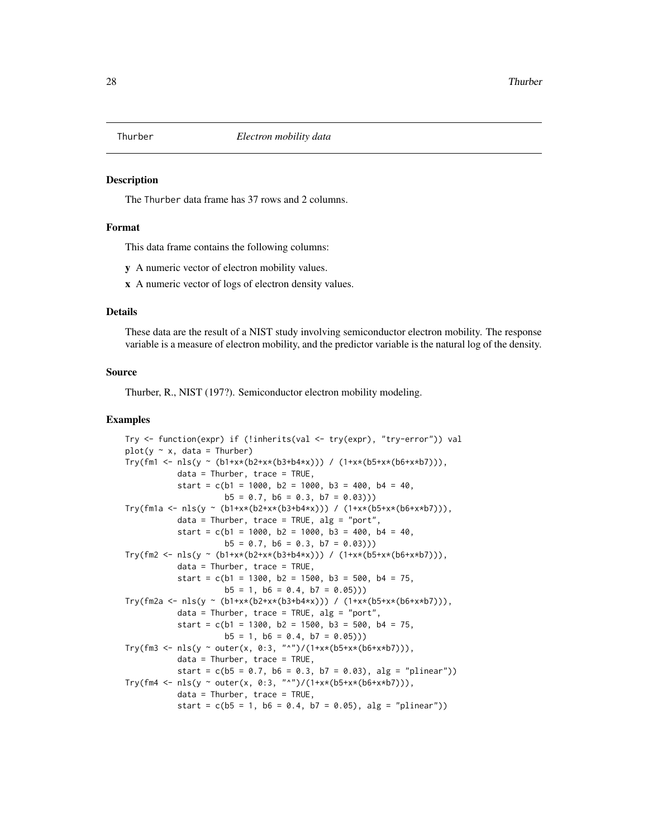<span id="page-27-0"></span>

The Thurber data frame has 37 rows and 2 columns.

# Format

This data frame contains the following columns:

y A numeric vector of electron mobility values.

x A numeric vector of logs of electron density values.

#### Details

These data are the result of a NIST study involving semiconductor electron mobility. The response variable is a measure of electron mobility, and the predictor variable is the natural log of the density.

# Source

Thurber, R., NIST (197?). Semiconductor electron mobility modeling.

```
Try <- function(expr) if (!inherits(val <- try(expr), "try-error")) val
plot(y \sim x, data = Thurber)Try(fm1 <- nls(y ~ (b1+x*(b2+x*(b3+b4*x))) / (1+x*(b5+x*(b6+x*b7))),
           data = Thurber, trace = TRUE,start = c(b1 = 1000, b2 = 1000, b3 = 400, b4 = 40,b5 = 0.7, b6 = 0.3, b7 = 0.03))
Try(fm1a <- nls(y ~ (b1+x*(b2+x*(b3+b4*x))) / (1+x*(b5+x*(b6+x*b7))),
           data = Thurber, trace = TRUE, alg = "port",start = c(b1 = 1000, b2 = 1000, b3 = 400, b4 = 40,b5 = 0.7, b6 = 0.3, b7 = 0.03))
Try(fm2 <- nls(y ~ (b1+x*(b2+x*(b3+b4*x))) / (1+x*(b5+x*(b6+x*b7))),
           data = Thurber, trace = TRUE,start = c(b1 = 1300, b2 = 1500, b3 = 500, b4 = 75,b5 = 1, b6 = 0.4, b7 = 0.05))
Try(fm2a <- nls(y ~ (b1+x*(b2+x*(b3+b4*x))) / (1+x*(b5+x*(b6+x*b7))),
           data = Thurber, trace = TRUE, alg = "port",start = c(b1 = 1300, b2 = 1500, b3 = 500, b4 = 75,b5 = 1, b6 = 0.4, b7 = 0.05))
Try(fm3 <- nls(y ~ outer(x, 0:3, "^")/(1+x*(b5+x*(b6+x*b7))),
          data = Thurber, trace = TRUE,start = c(b5 = 0.7, b6 = 0.3, b7 = 0.03), alg = "plinear"))
Try(fm4 <- nls(y ~ outer(x, 0:3, "^")/(1+x*(b5+x*(b6+x*b7))),
          data = Thurber, trace = TRUE,start = c(b5 = 1, b6 = 0.4, b7 = 0.05), alg = "plinear"))
```